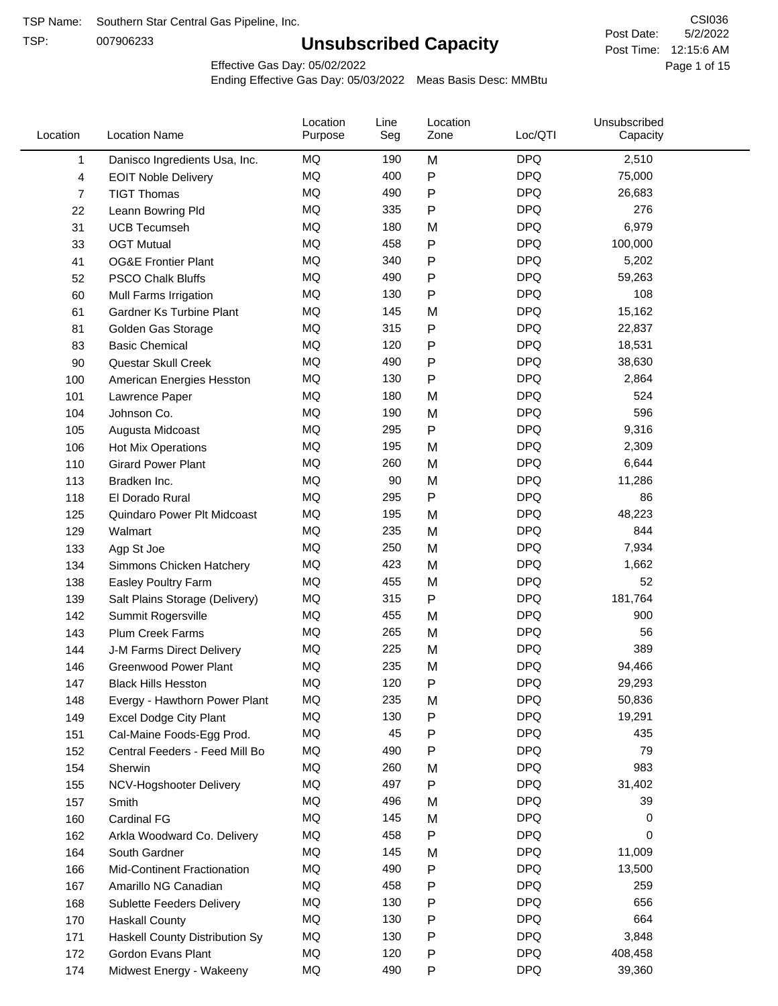TSP:

# **Unsubscribed Capacity**

5/2/2022 Page 1 of 15 Post Time: 12:15:6 AM CSI036 Post Date:

Effective Gas Day: 05/02/2022

| <b>DPQ</b><br>MQ<br>M<br>2,510<br>190<br>1<br>Danisco Ingredients Usa, Inc.<br>MQ<br><b>DPQ</b><br>400<br>P<br>75,000<br>4<br><b>EOIT Noble Delivery</b><br>MQ<br><b>DPQ</b><br>490<br>Ρ<br>$\overline{7}$<br><b>TIGT Thomas</b><br>26,683<br>MQ<br><b>DPQ</b><br>335<br>276<br>Ρ<br>22<br>Leann Bowring Pld<br><b>DPQ</b><br>MQ<br>180<br>M<br>6,979<br>31<br><b>UCB Tecumseh</b><br><b>DPQ</b><br>MQ<br>458<br>P<br>100,000<br>33<br><b>OGT Mutual</b><br>MQ<br>340<br><b>DPQ</b><br>Ρ<br>5,202<br>41<br><b>OG&amp;E Frontier Plant</b><br><b>DPQ</b><br>MQ<br>52<br><b>PSCO Chalk Bluffs</b><br>490<br>Ρ<br>59,263<br>MQ<br><b>DPQ</b><br>Ρ<br>108<br>60<br>130<br>Mull Farms Irrigation<br><b>DPQ</b><br>MQ<br>15,162<br>145<br>M<br>61<br><b>Gardner Ks Turbine Plant</b><br><b>DPQ</b><br>MQ<br>315<br>P<br>22,837<br>81<br>Golden Gas Storage<br><b>DPQ</b><br>MQ<br>120<br>Ρ<br>83<br><b>Basic Chemical</b><br>18,531<br><b>DPQ</b><br>MQ<br>490<br>P<br>90<br>Questar Skull Creek<br>38,630<br><b>DPQ</b><br>MQ<br>Ρ<br>2,864<br>130<br>100<br>American Energies Hesston<br>MQ<br><b>DPQ</b><br>524<br>180<br>M<br>101<br>Lawrence Paper<br>MQ<br>596<br><b>DPQ</b><br>190<br>M<br>104<br>Johnson Co.<br><b>DPQ</b><br>MQ<br>295<br>$\mathsf{P}$<br>9,316<br>105<br>Augusta Midcoast<br>MQ<br><b>DPQ</b><br>195<br>M<br>2,309<br>106<br>Hot Mix Operations<br>MQ<br>260<br><b>DPQ</b><br>6,644<br>110<br><b>Girard Power Plant</b><br>M<br><b>DPQ</b><br>MQ<br>90<br>M<br>11,286<br>113<br>Bradken Inc.<br>MQ<br>295<br>$\mathsf{P}$<br><b>DPQ</b><br>86<br>118<br>El Dorado Rural<br><b>MQ</b><br><b>DPQ</b><br>195<br>M<br>48,223<br>125<br>Quindaro Power Plt Midcoast<br><b>MQ</b><br><b>DPQ</b><br>235<br>844<br>M<br>129<br>Walmart<br>MQ<br>250<br>M<br><b>DPQ</b><br>133<br>Agp St Joe<br>7,934<br>MQ<br><b>DPQ</b><br>423<br>M<br>1,662<br>134<br>Simmons Chicken Hatchery<br>MQ<br>455<br><b>DPQ</b><br>52<br>138<br>M<br>Easley Poultry Farm<br>P<br><b>DPQ</b><br>MQ<br>315<br>181,764<br>139<br>Salt Plains Storage (Delivery)<br>MQ<br><b>DPQ</b><br>900<br>455<br>M<br>142<br>Summit Rogersville<br>MQ<br>265<br>M<br><b>DPQ</b><br>56<br>143<br>Plum Creek Farms<br>389<br>MQ<br><b>DPQ</b><br>225<br>M<br>144<br>J-M Farms Direct Delivery<br><b>MQ</b><br><b>DPQ</b><br>235<br>M<br><b>Greenwood Power Plant</b><br>94,466<br>146<br>MQ<br>29,293<br>120<br><b>DPQ</b><br>Ρ<br>147<br><b>Black Hills Hesston</b><br>MQ<br><b>DPQ</b><br>235<br>M<br>50,836<br>148<br>Evergy - Hawthorn Power Plant<br>MQ<br>130<br><b>DPQ</b><br>19,291<br>Ρ<br>149<br>Excel Dodge City Plant<br>MQ<br>45<br>Ρ<br><b>DPQ</b><br>435<br>151<br>Cal-Maine Foods-Egg Prod.<br><b>DPQ</b><br>MQ<br>490<br>79<br>Ρ<br>152<br>Central Feeders - Feed Mill Bo<br>MQ<br><b>DPQ</b><br>983<br>154<br>260<br>M<br>Sherwin<br>MQ<br><b>DPQ</b><br>497<br>P<br>31,402<br>155<br>NCV-Hogshooter Delivery<br>MQ<br><b>DPQ</b><br>496<br>39<br>M<br>157<br>Smith<br>MQ<br><b>DPQ</b><br>145<br>M<br>0<br>160<br>Cardinal FG<br><b>DPQ</b><br>MQ<br>458<br>${\sf P}$<br>0<br>162<br>Arkla Woodward Co. Delivery<br>MQ<br><b>DPQ</b><br>145<br>M<br>11,009<br>164<br>South Gardner<br>MQ<br>490<br><b>DPQ</b><br>Ρ<br>13,500<br>166<br>Mid-Continent Fractionation<br>MQ<br>458<br><b>DPQ</b><br>259<br>Ρ<br>167<br>Amarillo NG Canadian<br>MQ<br><b>DPQ</b><br>656<br>130<br>Ρ<br>168<br>Sublette Feeders Delivery<br>MQ<br><b>DPQ</b><br>664<br>130<br>Ρ<br>170<br><b>Haskall County</b><br>MQ<br><b>DPQ</b><br>130<br>Ρ<br>3,848<br>171<br>Haskell County Distribution Sy<br>MQ<br><b>DPQ</b><br>408,458<br>120<br>Ρ<br>172<br>Gordon Evans Plant<br>MQ<br><b>DPQ</b><br>490<br>P<br>39,360<br>174<br>Midwest Energy - Wakeeny | Location | <b>Location Name</b> | Location<br>Purpose | Line<br>Seg | Location<br>Zone | Loc/QTI | Unsubscribed<br>Capacity |  |
|-----------------------------------------------------------------------------------------------------------------------------------------------------------------------------------------------------------------------------------------------------------------------------------------------------------------------------------------------------------------------------------------------------------------------------------------------------------------------------------------------------------------------------------------------------------------------------------------------------------------------------------------------------------------------------------------------------------------------------------------------------------------------------------------------------------------------------------------------------------------------------------------------------------------------------------------------------------------------------------------------------------------------------------------------------------------------------------------------------------------------------------------------------------------------------------------------------------------------------------------------------------------------------------------------------------------------------------------------------------------------------------------------------------------------------------------------------------------------------------------------------------------------------------------------------------------------------------------------------------------------------------------------------------------------------------------------------------------------------------------------------------------------------------------------------------------------------------------------------------------------------------------------------------------------------------------------------------------------------------------------------------------------------------------------------------------------------------------------------------------------------------------------------------------------------------------------------------------------------------------------------------------------------------------------------------------------------------------------------------------------------------------------------------------------------------------------------------------------------------------------------------------------------------------------------------------------------------------------------------------------------------------------------------------------------------------------------------------------------------------------------------------------------------------------------------------------------------------------------------------------------------------------------------------------------------------------------------------------------------------------------------------------------------------------------------------------------------------------------------------------------------------------------------------------------------------------------------------------------------------------------------------------------------------------------------------------------------------------------------------------------------------------------------------------------------------------------------------------------------------------------------------------------------------------------------------------------------------------------------------------------------------------------------------------------------------------------------------------------|----------|----------------------|---------------------|-------------|------------------|---------|--------------------------|--|
|                                                                                                                                                                                                                                                                                                                                                                                                                                                                                                                                                                                                                                                                                                                                                                                                                                                                                                                                                                                                                                                                                                                                                                                                                                                                                                                                                                                                                                                                                                                                                                                                                                                                                                                                                                                                                                                                                                                                                                                                                                                                                                                                                                                                                                                                                                                                                                                                                                                                                                                                                                                                                                                                                                                                                                                                                                                                                                                                                                                                                                                                                                                                                                                                                                                                                                                                                                                                                                                                                                                                                                                                                                                                                                                             |          |                      |                     |             |                  |         |                          |  |
|                                                                                                                                                                                                                                                                                                                                                                                                                                                                                                                                                                                                                                                                                                                                                                                                                                                                                                                                                                                                                                                                                                                                                                                                                                                                                                                                                                                                                                                                                                                                                                                                                                                                                                                                                                                                                                                                                                                                                                                                                                                                                                                                                                                                                                                                                                                                                                                                                                                                                                                                                                                                                                                                                                                                                                                                                                                                                                                                                                                                                                                                                                                                                                                                                                                                                                                                                                                                                                                                                                                                                                                                                                                                                                                             |          |                      |                     |             |                  |         |                          |  |
|                                                                                                                                                                                                                                                                                                                                                                                                                                                                                                                                                                                                                                                                                                                                                                                                                                                                                                                                                                                                                                                                                                                                                                                                                                                                                                                                                                                                                                                                                                                                                                                                                                                                                                                                                                                                                                                                                                                                                                                                                                                                                                                                                                                                                                                                                                                                                                                                                                                                                                                                                                                                                                                                                                                                                                                                                                                                                                                                                                                                                                                                                                                                                                                                                                                                                                                                                                                                                                                                                                                                                                                                                                                                                                                             |          |                      |                     |             |                  |         |                          |  |
|                                                                                                                                                                                                                                                                                                                                                                                                                                                                                                                                                                                                                                                                                                                                                                                                                                                                                                                                                                                                                                                                                                                                                                                                                                                                                                                                                                                                                                                                                                                                                                                                                                                                                                                                                                                                                                                                                                                                                                                                                                                                                                                                                                                                                                                                                                                                                                                                                                                                                                                                                                                                                                                                                                                                                                                                                                                                                                                                                                                                                                                                                                                                                                                                                                                                                                                                                                                                                                                                                                                                                                                                                                                                                                                             |          |                      |                     |             |                  |         |                          |  |
|                                                                                                                                                                                                                                                                                                                                                                                                                                                                                                                                                                                                                                                                                                                                                                                                                                                                                                                                                                                                                                                                                                                                                                                                                                                                                                                                                                                                                                                                                                                                                                                                                                                                                                                                                                                                                                                                                                                                                                                                                                                                                                                                                                                                                                                                                                                                                                                                                                                                                                                                                                                                                                                                                                                                                                                                                                                                                                                                                                                                                                                                                                                                                                                                                                                                                                                                                                                                                                                                                                                                                                                                                                                                                                                             |          |                      |                     |             |                  |         |                          |  |
|                                                                                                                                                                                                                                                                                                                                                                                                                                                                                                                                                                                                                                                                                                                                                                                                                                                                                                                                                                                                                                                                                                                                                                                                                                                                                                                                                                                                                                                                                                                                                                                                                                                                                                                                                                                                                                                                                                                                                                                                                                                                                                                                                                                                                                                                                                                                                                                                                                                                                                                                                                                                                                                                                                                                                                                                                                                                                                                                                                                                                                                                                                                                                                                                                                                                                                                                                                                                                                                                                                                                                                                                                                                                                                                             |          |                      |                     |             |                  |         |                          |  |
|                                                                                                                                                                                                                                                                                                                                                                                                                                                                                                                                                                                                                                                                                                                                                                                                                                                                                                                                                                                                                                                                                                                                                                                                                                                                                                                                                                                                                                                                                                                                                                                                                                                                                                                                                                                                                                                                                                                                                                                                                                                                                                                                                                                                                                                                                                                                                                                                                                                                                                                                                                                                                                                                                                                                                                                                                                                                                                                                                                                                                                                                                                                                                                                                                                                                                                                                                                                                                                                                                                                                                                                                                                                                                                                             |          |                      |                     |             |                  |         |                          |  |
|                                                                                                                                                                                                                                                                                                                                                                                                                                                                                                                                                                                                                                                                                                                                                                                                                                                                                                                                                                                                                                                                                                                                                                                                                                                                                                                                                                                                                                                                                                                                                                                                                                                                                                                                                                                                                                                                                                                                                                                                                                                                                                                                                                                                                                                                                                                                                                                                                                                                                                                                                                                                                                                                                                                                                                                                                                                                                                                                                                                                                                                                                                                                                                                                                                                                                                                                                                                                                                                                                                                                                                                                                                                                                                                             |          |                      |                     |             |                  |         |                          |  |
|                                                                                                                                                                                                                                                                                                                                                                                                                                                                                                                                                                                                                                                                                                                                                                                                                                                                                                                                                                                                                                                                                                                                                                                                                                                                                                                                                                                                                                                                                                                                                                                                                                                                                                                                                                                                                                                                                                                                                                                                                                                                                                                                                                                                                                                                                                                                                                                                                                                                                                                                                                                                                                                                                                                                                                                                                                                                                                                                                                                                                                                                                                                                                                                                                                                                                                                                                                                                                                                                                                                                                                                                                                                                                                                             |          |                      |                     |             |                  |         |                          |  |
|                                                                                                                                                                                                                                                                                                                                                                                                                                                                                                                                                                                                                                                                                                                                                                                                                                                                                                                                                                                                                                                                                                                                                                                                                                                                                                                                                                                                                                                                                                                                                                                                                                                                                                                                                                                                                                                                                                                                                                                                                                                                                                                                                                                                                                                                                                                                                                                                                                                                                                                                                                                                                                                                                                                                                                                                                                                                                                                                                                                                                                                                                                                                                                                                                                                                                                                                                                                                                                                                                                                                                                                                                                                                                                                             |          |                      |                     |             |                  |         |                          |  |
|                                                                                                                                                                                                                                                                                                                                                                                                                                                                                                                                                                                                                                                                                                                                                                                                                                                                                                                                                                                                                                                                                                                                                                                                                                                                                                                                                                                                                                                                                                                                                                                                                                                                                                                                                                                                                                                                                                                                                                                                                                                                                                                                                                                                                                                                                                                                                                                                                                                                                                                                                                                                                                                                                                                                                                                                                                                                                                                                                                                                                                                                                                                                                                                                                                                                                                                                                                                                                                                                                                                                                                                                                                                                                                                             |          |                      |                     |             |                  |         |                          |  |
|                                                                                                                                                                                                                                                                                                                                                                                                                                                                                                                                                                                                                                                                                                                                                                                                                                                                                                                                                                                                                                                                                                                                                                                                                                                                                                                                                                                                                                                                                                                                                                                                                                                                                                                                                                                                                                                                                                                                                                                                                                                                                                                                                                                                                                                                                                                                                                                                                                                                                                                                                                                                                                                                                                                                                                                                                                                                                                                                                                                                                                                                                                                                                                                                                                                                                                                                                                                                                                                                                                                                                                                                                                                                                                                             |          |                      |                     |             |                  |         |                          |  |
|                                                                                                                                                                                                                                                                                                                                                                                                                                                                                                                                                                                                                                                                                                                                                                                                                                                                                                                                                                                                                                                                                                                                                                                                                                                                                                                                                                                                                                                                                                                                                                                                                                                                                                                                                                                                                                                                                                                                                                                                                                                                                                                                                                                                                                                                                                                                                                                                                                                                                                                                                                                                                                                                                                                                                                                                                                                                                                                                                                                                                                                                                                                                                                                                                                                                                                                                                                                                                                                                                                                                                                                                                                                                                                                             |          |                      |                     |             |                  |         |                          |  |
|                                                                                                                                                                                                                                                                                                                                                                                                                                                                                                                                                                                                                                                                                                                                                                                                                                                                                                                                                                                                                                                                                                                                                                                                                                                                                                                                                                                                                                                                                                                                                                                                                                                                                                                                                                                                                                                                                                                                                                                                                                                                                                                                                                                                                                                                                                                                                                                                                                                                                                                                                                                                                                                                                                                                                                                                                                                                                                                                                                                                                                                                                                                                                                                                                                                                                                                                                                                                                                                                                                                                                                                                                                                                                                                             |          |                      |                     |             |                  |         |                          |  |
|                                                                                                                                                                                                                                                                                                                                                                                                                                                                                                                                                                                                                                                                                                                                                                                                                                                                                                                                                                                                                                                                                                                                                                                                                                                                                                                                                                                                                                                                                                                                                                                                                                                                                                                                                                                                                                                                                                                                                                                                                                                                                                                                                                                                                                                                                                                                                                                                                                                                                                                                                                                                                                                                                                                                                                                                                                                                                                                                                                                                                                                                                                                                                                                                                                                                                                                                                                                                                                                                                                                                                                                                                                                                                                                             |          |                      |                     |             |                  |         |                          |  |
|                                                                                                                                                                                                                                                                                                                                                                                                                                                                                                                                                                                                                                                                                                                                                                                                                                                                                                                                                                                                                                                                                                                                                                                                                                                                                                                                                                                                                                                                                                                                                                                                                                                                                                                                                                                                                                                                                                                                                                                                                                                                                                                                                                                                                                                                                                                                                                                                                                                                                                                                                                                                                                                                                                                                                                                                                                                                                                                                                                                                                                                                                                                                                                                                                                                                                                                                                                                                                                                                                                                                                                                                                                                                                                                             |          |                      |                     |             |                  |         |                          |  |
|                                                                                                                                                                                                                                                                                                                                                                                                                                                                                                                                                                                                                                                                                                                                                                                                                                                                                                                                                                                                                                                                                                                                                                                                                                                                                                                                                                                                                                                                                                                                                                                                                                                                                                                                                                                                                                                                                                                                                                                                                                                                                                                                                                                                                                                                                                                                                                                                                                                                                                                                                                                                                                                                                                                                                                                                                                                                                                                                                                                                                                                                                                                                                                                                                                                                                                                                                                                                                                                                                                                                                                                                                                                                                                                             |          |                      |                     |             |                  |         |                          |  |
|                                                                                                                                                                                                                                                                                                                                                                                                                                                                                                                                                                                                                                                                                                                                                                                                                                                                                                                                                                                                                                                                                                                                                                                                                                                                                                                                                                                                                                                                                                                                                                                                                                                                                                                                                                                                                                                                                                                                                                                                                                                                                                                                                                                                                                                                                                                                                                                                                                                                                                                                                                                                                                                                                                                                                                                                                                                                                                                                                                                                                                                                                                                                                                                                                                                                                                                                                                                                                                                                                                                                                                                                                                                                                                                             |          |                      |                     |             |                  |         |                          |  |
|                                                                                                                                                                                                                                                                                                                                                                                                                                                                                                                                                                                                                                                                                                                                                                                                                                                                                                                                                                                                                                                                                                                                                                                                                                                                                                                                                                                                                                                                                                                                                                                                                                                                                                                                                                                                                                                                                                                                                                                                                                                                                                                                                                                                                                                                                                                                                                                                                                                                                                                                                                                                                                                                                                                                                                                                                                                                                                                                                                                                                                                                                                                                                                                                                                                                                                                                                                                                                                                                                                                                                                                                                                                                                                                             |          |                      |                     |             |                  |         |                          |  |
|                                                                                                                                                                                                                                                                                                                                                                                                                                                                                                                                                                                                                                                                                                                                                                                                                                                                                                                                                                                                                                                                                                                                                                                                                                                                                                                                                                                                                                                                                                                                                                                                                                                                                                                                                                                                                                                                                                                                                                                                                                                                                                                                                                                                                                                                                                                                                                                                                                                                                                                                                                                                                                                                                                                                                                                                                                                                                                                                                                                                                                                                                                                                                                                                                                                                                                                                                                                                                                                                                                                                                                                                                                                                                                                             |          |                      |                     |             |                  |         |                          |  |
|                                                                                                                                                                                                                                                                                                                                                                                                                                                                                                                                                                                                                                                                                                                                                                                                                                                                                                                                                                                                                                                                                                                                                                                                                                                                                                                                                                                                                                                                                                                                                                                                                                                                                                                                                                                                                                                                                                                                                                                                                                                                                                                                                                                                                                                                                                                                                                                                                                                                                                                                                                                                                                                                                                                                                                                                                                                                                                                                                                                                                                                                                                                                                                                                                                                                                                                                                                                                                                                                                                                                                                                                                                                                                                                             |          |                      |                     |             |                  |         |                          |  |
|                                                                                                                                                                                                                                                                                                                                                                                                                                                                                                                                                                                                                                                                                                                                                                                                                                                                                                                                                                                                                                                                                                                                                                                                                                                                                                                                                                                                                                                                                                                                                                                                                                                                                                                                                                                                                                                                                                                                                                                                                                                                                                                                                                                                                                                                                                                                                                                                                                                                                                                                                                                                                                                                                                                                                                                                                                                                                                                                                                                                                                                                                                                                                                                                                                                                                                                                                                                                                                                                                                                                                                                                                                                                                                                             |          |                      |                     |             |                  |         |                          |  |
|                                                                                                                                                                                                                                                                                                                                                                                                                                                                                                                                                                                                                                                                                                                                                                                                                                                                                                                                                                                                                                                                                                                                                                                                                                                                                                                                                                                                                                                                                                                                                                                                                                                                                                                                                                                                                                                                                                                                                                                                                                                                                                                                                                                                                                                                                                                                                                                                                                                                                                                                                                                                                                                                                                                                                                                                                                                                                                                                                                                                                                                                                                                                                                                                                                                                                                                                                                                                                                                                                                                                                                                                                                                                                                                             |          |                      |                     |             |                  |         |                          |  |
|                                                                                                                                                                                                                                                                                                                                                                                                                                                                                                                                                                                                                                                                                                                                                                                                                                                                                                                                                                                                                                                                                                                                                                                                                                                                                                                                                                                                                                                                                                                                                                                                                                                                                                                                                                                                                                                                                                                                                                                                                                                                                                                                                                                                                                                                                                                                                                                                                                                                                                                                                                                                                                                                                                                                                                                                                                                                                                                                                                                                                                                                                                                                                                                                                                                                                                                                                                                                                                                                                                                                                                                                                                                                                                                             |          |                      |                     |             |                  |         |                          |  |
|                                                                                                                                                                                                                                                                                                                                                                                                                                                                                                                                                                                                                                                                                                                                                                                                                                                                                                                                                                                                                                                                                                                                                                                                                                                                                                                                                                                                                                                                                                                                                                                                                                                                                                                                                                                                                                                                                                                                                                                                                                                                                                                                                                                                                                                                                                                                                                                                                                                                                                                                                                                                                                                                                                                                                                                                                                                                                                                                                                                                                                                                                                                                                                                                                                                                                                                                                                                                                                                                                                                                                                                                                                                                                                                             |          |                      |                     |             |                  |         |                          |  |
|                                                                                                                                                                                                                                                                                                                                                                                                                                                                                                                                                                                                                                                                                                                                                                                                                                                                                                                                                                                                                                                                                                                                                                                                                                                                                                                                                                                                                                                                                                                                                                                                                                                                                                                                                                                                                                                                                                                                                                                                                                                                                                                                                                                                                                                                                                                                                                                                                                                                                                                                                                                                                                                                                                                                                                                                                                                                                                                                                                                                                                                                                                                                                                                                                                                                                                                                                                                                                                                                                                                                                                                                                                                                                                                             |          |                      |                     |             |                  |         |                          |  |
|                                                                                                                                                                                                                                                                                                                                                                                                                                                                                                                                                                                                                                                                                                                                                                                                                                                                                                                                                                                                                                                                                                                                                                                                                                                                                                                                                                                                                                                                                                                                                                                                                                                                                                                                                                                                                                                                                                                                                                                                                                                                                                                                                                                                                                                                                                                                                                                                                                                                                                                                                                                                                                                                                                                                                                                                                                                                                                                                                                                                                                                                                                                                                                                                                                                                                                                                                                                                                                                                                                                                                                                                                                                                                                                             |          |                      |                     |             |                  |         |                          |  |
|                                                                                                                                                                                                                                                                                                                                                                                                                                                                                                                                                                                                                                                                                                                                                                                                                                                                                                                                                                                                                                                                                                                                                                                                                                                                                                                                                                                                                                                                                                                                                                                                                                                                                                                                                                                                                                                                                                                                                                                                                                                                                                                                                                                                                                                                                                                                                                                                                                                                                                                                                                                                                                                                                                                                                                                                                                                                                                                                                                                                                                                                                                                                                                                                                                                                                                                                                                                                                                                                                                                                                                                                                                                                                                                             |          |                      |                     |             |                  |         |                          |  |
|                                                                                                                                                                                                                                                                                                                                                                                                                                                                                                                                                                                                                                                                                                                                                                                                                                                                                                                                                                                                                                                                                                                                                                                                                                                                                                                                                                                                                                                                                                                                                                                                                                                                                                                                                                                                                                                                                                                                                                                                                                                                                                                                                                                                                                                                                                                                                                                                                                                                                                                                                                                                                                                                                                                                                                                                                                                                                                                                                                                                                                                                                                                                                                                                                                                                                                                                                                                                                                                                                                                                                                                                                                                                                                                             |          |                      |                     |             |                  |         |                          |  |
|                                                                                                                                                                                                                                                                                                                                                                                                                                                                                                                                                                                                                                                                                                                                                                                                                                                                                                                                                                                                                                                                                                                                                                                                                                                                                                                                                                                                                                                                                                                                                                                                                                                                                                                                                                                                                                                                                                                                                                                                                                                                                                                                                                                                                                                                                                                                                                                                                                                                                                                                                                                                                                                                                                                                                                                                                                                                                                                                                                                                                                                                                                                                                                                                                                                                                                                                                                                                                                                                                                                                                                                                                                                                                                                             |          |                      |                     |             |                  |         |                          |  |
|                                                                                                                                                                                                                                                                                                                                                                                                                                                                                                                                                                                                                                                                                                                                                                                                                                                                                                                                                                                                                                                                                                                                                                                                                                                                                                                                                                                                                                                                                                                                                                                                                                                                                                                                                                                                                                                                                                                                                                                                                                                                                                                                                                                                                                                                                                                                                                                                                                                                                                                                                                                                                                                                                                                                                                                                                                                                                                                                                                                                                                                                                                                                                                                                                                                                                                                                                                                                                                                                                                                                                                                                                                                                                                                             |          |                      |                     |             |                  |         |                          |  |
|                                                                                                                                                                                                                                                                                                                                                                                                                                                                                                                                                                                                                                                                                                                                                                                                                                                                                                                                                                                                                                                                                                                                                                                                                                                                                                                                                                                                                                                                                                                                                                                                                                                                                                                                                                                                                                                                                                                                                                                                                                                                                                                                                                                                                                                                                                                                                                                                                                                                                                                                                                                                                                                                                                                                                                                                                                                                                                                                                                                                                                                                                                                                                                                                                                                                                                                                                                                                                                                                                                                                                                                                                                                                                                                             |          |                      |                     |             |                  |         |                          |  |
|                                                                                                                                                                                                                                                                                                                                                                                                                                                                                                                                                                                                                                                                                                                                                                                                                                                                                                                                                                                                                                                                                                                                                                                                                                                                                                                                                                                                                                                                                                                                                                                                                                                                                                                                                                                                                                                                                                                                                                                                                                                                                                                                                                                                                                                                                                                                                                                                                                                                                                                                                                                                                                                                                                                                                                                                                                                                                                                                                                                                                                                                                                                                                                                                                                                                                                                                                                                                                                                                                                                                                                                                                                                                                                                             |          |                      |                     |             |                  |         |                          |  |
|                                                                                                                                                                                                                                                                                                                                                                                                                                                                                                                                                                                                                                                                                                                                                                                                                                                                                                                                                                                                                                                                                                                                                                                                                                                                                                                                                                                                                                                                                                                                                                                                                                                                                                                                                                                                                                                                                                                                                                                                                                                                                                                                                                                                                                                                                                                                                                                                                                                                                                                                                                                                                                                                                                                                                                                                                                                                                                                                                                                                                                                                                                                                                                                                                                                                                                                                                                                                                                                                                                                                                                                                                                                                                                                             |          |                      |                     |             |                  |         |                          |  |
|                                                                                                                                                                                                                                                                                                                                                                                                                                                                                                                                                                                                                                                                                                                                                                                                                                                                                                                                                                                                                                                                                                                                                                                                                                                                                                                                                                                                                                                                                                                                                                                                                                                                                                                                                                                                                                                                                                                                                                                                                                                                                                                                                                                                                                                                                                                                                                                                                                                                                                                                                                                                                                                                                                                                                                                                                                                                                                                                                                                                                                                                                                                                                                                                                                                                                                                                                                                                                                                                                                                                                                                                                                                                                                                             |          |                      |                     |             |                  |         |                          |  |
|                                                                                                                                                                                                                                                                                                                                                                                                                                                                                                                                                                                                                                                                                                                                                                                                                                                                                                                                                                                                                                                                                                                                                                                                                                                                                                                                                                                                                                                                                                                                                                                                                                                                                                                                                                                                                                                                                                                                                                                                                                                                                                                                                                                                                                                                                                                                                                                                                                                                                                                                                                                                                                                                                                                                                                                                                                                                                                                                                                                                                                                                                                                                                                                                                                                                                                                                                                                                                                                                                                                                                                                                                                                                                                                             |          |                      |                     |             |                  |         |                          |  |
|                                                                                                                                                                                                                                                                                                                                                                                                                                                                                                                                                                                                                                                                                                                                                                                                                                                                                                                                                                                                                                                                                                                                                                                                                                                                                                                                                                                                                                                                                                                                                                                                                                                                                                                                                                                                                                                                                                                                                                                                                                                                                                                                                                                                                                                                                                                                                                                                                                                                                                                                                                                                                                                                                                                                                                                                                                                                                                                                                                                                                                                                                                                                                                                                                                                                                                                                                                                                                                                                                                                                                                                                                                                                                                                             |          |                      |                     |             |                  |         |                          |  |
|                                                                                                                                                                                                                                                                                                                                                                                                                                                                                                                                                                                                                                                                                                                                                                                                                                                                                                                                                                                                                                                                                                                                                                                                                                                                                                                                                                                                                                                                                                                                                                                                                                                                                                                                                                                                                                                                                                                                                                                                                                                                                                                                                                                                                                                                                                                                                                                                                                                                                                                                                                                                                                                                                                                                                                                                                                                                                                                                                                                                                                                                                                                                                                                                                                                                                                                                                                                                                                                                                                                                                                                                                                                                                                                             |          |                      |                     |             |                  |         |                          |  |
|                                                                                                                                                                                                                                                                                                                                                                                                                                                                                                                                                                                                                                                                                                                                                                                                                                                                                                                                                                                                                                                                                                                                                                                                                                                                                                                                                                                                                                                                                                                                                                                                                                                                                                                                                                                                                                                                                                                                                                                                                                                                                                                                                                                                                                                                                                                                                                                                                                                                                                                                                                                                                                                                                                                                                                                                                                                                                                                                                                                                                                                                                                                                                                                                                                                                                                                                                                                                                                                                                                                                                                                                                                                                                                                             |          |                      |                     |             |                  |         |                          |  |
|                                                                                                                                                                                                                                                                                                                                                                                                                                                                                                                                                                                                                                                                                                                                                                                                                                                                                                                                                                                                                                                                                                                                                                                                                                                                                                                                                                                                                                                                                                                                                                                                                                                                                                                                                                                                                                                                                                                                                                                                                                                                                                                                                                                                                                                                                                                                                                                                                                                                                                                                                                                                                                                                                                                                                                                                                                                                                                                                                                                                                                                                                                                                                                                                                                                                                                                                                                                                                                                                                                                                                                                                                                                                                                                             |          |                      |                     |             |                  |         |                          |  |
|                                                                                                                                                                                                                                                                                                                                                                                                                                                                                                                                                                                                                                                                                                                                                                                                                                                                                                                                                                                                                                                                                                                                                                                                                                                                                                                                                                                                                                                                                                                                                                                                                                                                                                                                                                                                                                                                                                                                                                                                                                                                                                                                                                                                                                                                                                                                                                                                                                                                                                                                                                                                                                                                                                                                                                                                                                                                                                                                                                                                                                                                                                                                                                                                                                                                                                                                                                                                                                                                                                                                                                                                                                                                                                                             |          |                      |                     |             |                  |         |                          |  |
|                                                                                                                                                                                                                                                                                                                                                                                                                                                                                                                                                                                                                                                                                                                                                                                                                                                                                                                                                                                                                                                                                                                                                                                                                                                                                                                                                                                                                                                                                                                                                                                                                                                                                                                                                                                                                                                                                                                                                                                                                                                                                                                                                                                                                                                                                                                                                                                                                                                                                                                                                                                                                                                                                                                                                                                                                                                                                                                                                                                                                                                                                                                                                                                                                                                                                                                                                                                                                                                                                                                                                                                                                                                                                                                             |          |                      |                     |             |                  |         |                          |  |
|                                                                                                                                                                                                                                                                                                                                                                                                                                                                                                                                                                                                                                                                                                                                                                                                                                                                                                                                                                                                                                                                                                                                                                                                                                                                                                                                                                                                                                                                                                                                                                                                                                                                                                                                                                                                                                                                                                                                                                                                                                                                                                                                                                                                                                                                                                                                                                                                                                                                                                                                                                                                                                                                                                                                                                                                                                                                                                                                                                                                                                                                                                                                                                                                                                                                                                                                                                                                                                                                                                                                                                                                                                                                                                                             |          |                      |                     |             |                  |         |                          |  |
|                                                                                                                                                                                                                                                                                                                                                                                                                                                                                                                                                                                                                                                                                                                                                                                                                                                                                                                                                                                                                                                                                                                                                                                                                                                                                                                                                                                                                                                                                                                                                                                                                                                                                                                                                                                                                                                                                                                                                                                                                                                                                                                                                                                                                                                                                                                                                                                                                                                                                                                                                                                                                                                                                                                                                                                                                                                                                                                                                                                                                                                                                                                                                                                                                                                                                                                                                                                                                                                                                                                                                                                                                                                                                                                             |          |                      |                     |             |                  |         |                          |  |
|                                                                                                                                                                                                                                                                                                                                                                                                                                                                                                                                                                                                                                                                                                                                                                                                                                                                                                                                                                                                                                                                                                                                                                                                                                                                                                                                                                                                                                                                                                                                                                                                                                                                                                                                                                                                                                                                                                                                                                                                                                                                                                                                                                                                                                                                                                                                                                                                                                                                                                                                                                                                                                                                                                                                                                                                                                                                                                                                                                                                                                                                                                                                                                                                                                                                                                                                                                                                                                                                                                                                                                                                                                                                                                                             |          |                      |                     |             |                  |         |                          |  |
|                                                                                                                                                                                                                                                                                                                                                                                                                                                                                                                                                                                                                                                                                                                                                                                                                                                                                                                                                                                                                                                                                                                                                                                                                                                                                                                                                                                                                                                                                                                                                                                                                                                                                                                                                                                                                                                                                                                                                                                                                                                                                                                                                                                                                                                                                                                                                                                                                                                                                                                                                                                                                                                                                                                                                                                                                                                                                                                                                                                                                                                                                                                                                                                                                                                                                                                                                                                                                                                                                                                                                                                                                                                                                                                             |          |                      |                     |             |                  |         |                          |  |
|                                                                                                                                                                                                                                                                                                                                                                                                                                                                                                                                                                                                                                                                                                                                                                                                                                                                                                                                                                                                                                                                                                                                                                                                                                                                                                                                                                                                                                                                                                                                                                                                                                                                                                                                                                                                                                                                                                                                                                                                                                                                                                                                                                                                                                                                                                                                                                                                                                                                                                                                                                                                                                                                                                                                                                                                                                                                                                                                                                                                                                                                                                                                                                                                                                                                                                                                                                                                                                                                                                                                                                                                                                                                                                                             |          |                      |                     |             |                  |         |                          |  |
|                                                                                                                                                                                                                                                                                                                                                                                                                                                                                                                                                                                                                                                                                                                                                                                                                                                                                                                                                                                                                                                                                                                                                                                                                                                                                                                                                                                                                                                                                                                                                                                                                                                                                                                                                                                                                                                                                                                                                                                                                                                                                                                                                                                                                                                                                                                                                                                                                                                                                                                                                                                                                                                                                                                                                                                                                                                                                                                                                                                                                                                                                                                                                                                                                                                                                                                                                                                                                                                                                                                                                                                                                                                                                                                             |          |                      |                     |             |                  |         |                          |  |
|                                                                                                                                                                                                                                                                                                                                                                                                                                                                                                                                                                                                                                                                                                                                                                                                                                                                                                                                                                                                                                                                                                                                                                                                                                                                                                                                                                                                                                                                                                                                                                                                                                                                                                                                                                                                                                                                                                                                                                                                                                                                                                                                                                                                                                                                                                                                                                                                                                                                                                                                                                                                                                                                                                                                                                                                                                                                                                                                                                                                                                                                                                                                                                                                                                                                                                                                                                                                                                                                                                                                                                                                                                                                                                                             |          |                      |                     |             |                  |         |                          |  |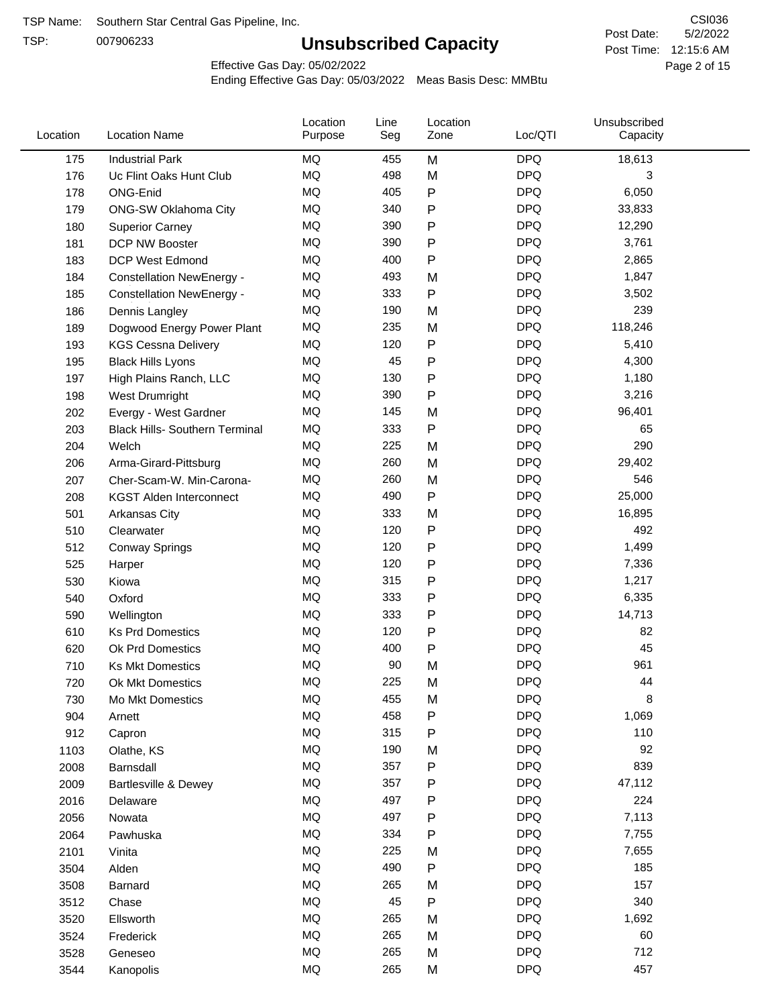TSP:

# **Unsubscribed Capacity**

5/2/2022 Page 2 of 15 Post Time: 12:15:6 AM CSI036 Post Date:

Effective Gas Day: 05/02/2022

| Location | <b>Location Name</b>                         | Location<br>Purpose | Line<br>Seg | Location<br>Zone | Loc/QTI    | Unsubscribed<br>Capacity |  |
|----------|----------------------------------------------|---------------------|-------------|------------------|------------|--------------------------|--|
|          | 175<br><b>Industrial Park</b>                | MQ                  | 455         | M                | <b>DPQ</b> | 18,613                   |  |
|          | 176<br>Uc Flint Oaks Hunt Club               | MQ                  | 498         | M                | <b>DPQ</b> | 3                        |  |
| 178      | ONG-Enid                                     | MQ                  | 405         | ${\sf P}$        | <b>DPQ</b> | 6,050                    |  |
| 179      | <b>ONG-SW Oklahoma City</b>                  | <b>MQ</b>           | 340         | P                | <b>DPQ</b> | 33,833                   |  |
|          | 180<br><b>Superior Carney</b>                | <b>MQ</b>           | 390         | P                | <b>DPQ</b> | 12,290                   |  |
| 181      | DCP NW Booster                               | <b>MQ</b>           | 390         | P                | <b>DPQ</b> | 3,761                    |  |
|          | 183<br><b>DCP West Edmond</b>                | <b>MQ</b>           | 400         | P                | <b>DPQ</b> | 2,865                    |  |
|          | 184<br><b>Constellation NewEnergy -</b>      | MQ                  | 493         | M                | <b>DPQ</b> | 1,847                    |  |
| 185      | <b>Constellation NewEnergy -</b>             | MQ                  | 333         | P                | <b>DPQ</b> | 3,502                    |  |
|          | 186<br>Dennis Langley                        | MQ                  | 190         | M                | <b>DPQ</b> | 239                      |  |
| 189      | Dogwood Energy Power Plant                   | <b>MQ</b>           | 235         | M                | <b>DPQ</b> | 118,246                  |  |
|          | 193<br><b>KGS Cessna Delivery</b>            | MQ                  | 120         | P                | <b>DPQ</b> | 5,410                    |  |
|          | 195<br><b>Black Hills Lyons</b>              | <b>MQ</b>           | 45          | P                | <b>DPQ</b> | 4,300                    |  |
| 197      | High Plains Ranch, LLC                       | <b>MQ</b>           | 130         | P                | <b>DPQ</b> | 1,180                    |  |
|          | 198<br>West Drumright                        | <b>MQ</b>           | 390         | P                | <b>DPQ</b> | 3,216                    |  |
|          | 202<br>Evergy - West Gardner                 | <b>MQ</b>           | 145         | M                | <b>DPQ</b> | 96,401                   |  |
|          | 203<br><b>Black Hills- Southern Terminal</b> | MQ                  | 333         | P                | <b>DPQ</b> | 65                       |  |
|          | 204<br>Welch                                 | MQ                  | 225         | M                | <b>DPQ</b> | 290                      |  |
|          | 206<br>Arma-Girard-Pittsburg                 | <b>MQ</b>           | 260         | M                | <b>DPQ</b> | 29,402                   |  |
| 207      | Cher-Scam-W. Min-Carona-                     | MQ                  | 260         | M                | <b>DPQ</b> | 546                      |  |
|          | 208<br><b>KGST Alden Interconnect</b>        | <b>MQ</b>           | 490         | P                | <b>DPQ</b> | 25,000                   |  |
| 501      | <b>Arkansas City</b>                         | <b>MQ</b>           | 333         | M                | <b>DPQ</b> | 16,895                   |  |
| 510      | Clearwater                                   | <b>MQ</b>           | 120         | P                | <b>DPQ</b> | 492                      |  |
| 512      | <b>Conway Springs</b>                        | <b>MQ</b>           | 120         | P                | <b>DPQ</b> | 1,499                    |  |
| 525      | Harper                                       | <b>MQ</b>           | 120         | P                | <b>DPQ</b> | 7,336                    |  |
|          | 530<br>Kiowa                                 | <b>MQ</b>           | 315         | P                | <b>DPQ</b> | 1,217                    |  |
|          | Oxford<br>540                                | <b>MQ</b>           | 333         | P                | <b>DPQ</b> | 6,335                    |  |
|          | 590<br>Wellington                            | <b>MQ</b>           | 333         | P                | <b>DPQ</b> | 14,713                   |  |
| 610      | <b>Ks Prd Domestics</b>                      | <b>MQ</b>           | 120         | P                | <b>DPQ</b> | 82                       |  |
| 620      | <b>Ok Prd Domestics</b>                      | <b>MQ</b>           | 400         | P                | <b>DPQ</b> | 45                       |  |
|          | 710<br><b>Ks Mkt Domestics</b>               | <b>MQ</b>           | 90          | M                | <b>DPQ</b> | 961                      |  |
|          | 720<br>Ok Mkt Domestics                      | MQ                  | 225         | M                | <b>DPQ</b> | 44                       |  |
|          | 730<br>Mo Mkt Domestics                      | MQ                  | 455         | M                | <b>DPQ</b> | 8                        |  |
| 904      | Arnett                                       | <b>MQ</b>           | 458         | ${\sf P}$        | <b>DPQ</b> | 1,069                    |  |
| 912      | Capron                                       | <b>MQ</b>           | 315         | P                | <b>DPQ</b> | 110                      |  |
| 1103     | Olathe, KS                                   | <b>MQ</b>           | 190         | M                | <b>DPQ</b> | 92                       |  |
| 2008     | Barnsdall                                    | <b>MQ</b>           | 357         | P                | <b>DPQ</b> | 839                      |  |
| 2009     | <b>Bartlesville &amp; Dewey</b>              | <b>MQ</b>           | 357         | P                | <b>DPQ</b> | 47,112                   |  |
| 2016     | Delaware                                     | <b>MQ</b>           | 497         | P                | <b>DPQ</b> | 224                      |  |
| 2056     | Nowata                                       | <b>MQ</b>           | 497         | ${\sf P}$        | <b>DPQ</b> | 7,113                    |  |
| 2064     | Pawhuska                                     | <b>MQ</b>           | 334         | P                | <b>DPQ</b> | 7,755                    |  |
| 2101     | Vinita                                       | <b>MQ</b>           | 225         | M                | <b>DPQ</b> | 7,655                    |  |
| 3504     | Alden                                        | MQ                  | 490         | ${\sf P}$        | <b>DPQ</b> | 185                      |  |
| 3508     | Barnard                                      | <b>MQ</b>           | 265         | M                | <b>DPQ</b> | 157                      |  |
| 3512     | Chase                                        | <b>MQ</b>           | 45          | ${\sf P}$        | <b>DPQ</b> | 340                      |  |
| 3520     | Ellsworth                                    | <b>MQ</b>           | 265         | M                | <b>DPQ</b> | 1,692                    |  |
| 3524     | Frederick                                    | <b>MQ</b>           | 265         | M                | <b>DPQ</b> | 60                       |  |
| 3528     | Geneseo                                      | <b>MQ</b>           | 265         | M                | <b>DPQ</b> | 712                      |  |
| 3544     | Kanopolis                                    | <b>MQ</b>           | 265         | M                | <b>DPQ</b> | 457                      |  |
|          |                                              |                     |             |                  |            |                          |  |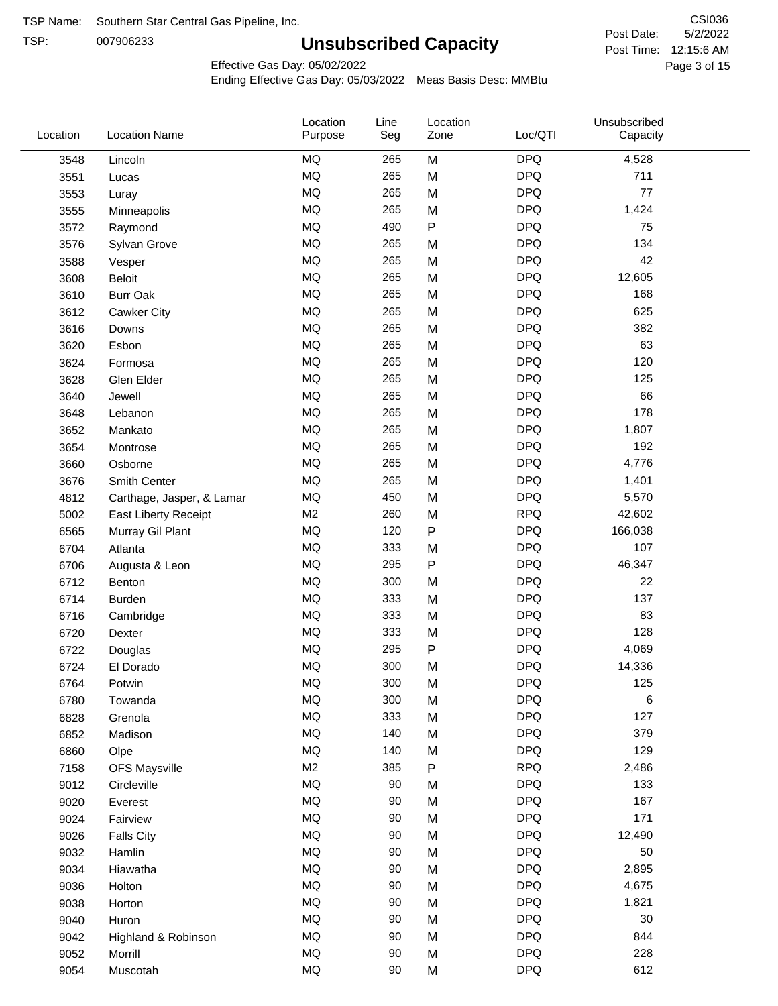TSP: 

# **Unsubscribed Capacity**

5/2/2022 Page 3 of 15 Post Time: 12:15:6 AM CSI036 Post Date:

Effective Gas Day: 05/02/2022

| Location | <b>Location Name</b>      | Location<br>Purpose | Line<br>Seg | Location<br>Zone | Loc/QTI    | Unsubscribed<br>Capacity |  |
|----------|---------------------------|---------------------|-------------|------------------|------------|--------------------------|--|
| 3548     | Lincoln                   | <b>MQ</b>           | 265         | M                | <b>DPQ</b> | 4,528                    |  |
| 3551     | Lucas                     | MQ                  | 265         | M                | <b>DPQ</b> | 711                      |  |
| 3553     | Luray                     | <b>MQ</b>           | 265         | M                | <b>DPQ</b> | 77                       |  |
| 3555     | Minneapolis               | <b>MQ</b>           | 265         | M                | <b>DPQ</b> | 1,424                    |  |
| 3572     | Raymond                   | <b>MQ</b>           | 490         | P                | <b>DPQ</b> | 75                       |  |
| 3576     | Sylvan Grove              | <b>MQ</b>           | 265         | M                | <b>DPQ</b> | 134                      |  |
| 3588     | Vesper                    | <b>MQ</b>           | 265         | M                | <b>DPQ</b> | 42                       |  |
| 3608     | Beloit                    | <b>MQ</b>           | 265         | M                | <b>DPQ</b> | 12,605                   |  |
| 3610     | <b>Burr Oak</b>           | <b>MQ</b>           | 265         | M                | <b>DPQ</b> | 168                      |  |
| 3612     | Cawker City               | <b>MQ</b>           | 265         | M                | <b>DPQ</b> | 625                      |  |
| 3616     | Downs                     | MQ                  | 265         | M                | <b>DPQ</b> | 382                      |  |
| 3620     | Esbon                     | MQ                  | 265         | M                | <b>DPQ</b> | 63                       |  |
| 3624     | Formosa                   | MQ                  | 265         | M                | <b>DPQ</b> | 120                      |  |
| 3628     | Glen Elder                | <b>MQ</b>           | 265         | M                | <b>DPQ</b> | 125                      |  |
| 3640     | Jewell                    | <b>MQ</b>           | 265         | M                | <b>DPQ</b> | 66                       |  |
| 3648     | Lebanon                   | <b>MQ</b>           | 265         | M                | <b>DPQ</b> | 178                      |  |
| 3652     | Mankato                   | MQ                  | 265         | M                | <b>DPQ</b> | 1,807                    |  |
| 3654     | Montrose                  | <b>MQ</b>           | 265         | M                | <b>DPQ</b> | 192                      |  |
| 3660     | Osborne                   | <b>MQ</b>           | 265         | M                | <b>DPQ</b> | 4,776                    |  |
| 3676     | Smith Center              | MQ                  | 265         | M                | <b>DPQ</b> | 1,401                    |  |
| 4812     | Carthage, Jasper, & Lamar | MQ                  | 450         | M                | <b>DPQ</b> | 5,570                    |  |
| 5002     | East Liberty Receipt      | M <sub>2</sub>      | 260         | M                | <b>RPQ</b> | 42,602                   |  |
| 6565     | Murray Gil Plant          | MQ                  | 120         | $\mathsf{P}$     | <b>DPQ</b> | 166,038                  |  |
| 6704     | Atlanta                   | <b>MQ</b>           | 333         | M                | <b>DPQ</b> | 107                      |  |
| 6706     | Augusta & Leon            | MQ                  | 295         | P                | <b>DPQ</b> | 46,347                   |  |
| 6712     | Benton                    | <b>MQ</b>           | 300         | M                | <b>DPQ</b> | 22                       |  |
| 6714     | <b>Burden</b>             | <b>MQ</b>           | 333         | M                | <b>DPQ</b> | 137                      |  |
| 6716     | Cambridge                 | <b>MQ</b>           | 333         | M                | <b>DPQ</b> | 83                       |  |
| 6720     | Dexter                    | <b>MQ</b>           | 333         | M                | <b>DPQ</b> | 128                      |  |
| 6722     | Douglas                   | <b>MQ</b>           | 295         | P                | <b>DPQ</b> | 4,069                    |  |
| 6724     | El Dorado                 | <b>MQ</b>           | 300         | M                | <b>DPQ</b> | 14,336                   |  |
| 6764     | Potwin                    | <b>MQ</b>           | 300         | M                | <b>DPQ</b> | 125                      |  |
| 6780     | Towanda                   | MQ                  | 300         | M                | <b>DPQ</b> | 6                        |  |
| 6828     | Grenola                   | MQ                  | 333         | M                | <b>DPQ</b> | 127                      |  |
| 6852     | Madison                   | <b>MQ</b>           | 140         | M                | <b>DPQ</b> | 379                      |  |
| 6860     | Olpe                      | MQ                  | 140         | M                | <b>DPQ</b> | 129                      |  |
| 7158     | <b>OFS Maysville</b>      | M <sub>2</sub>      | 385         | ${\sf P}$        | <b>RPQ</b> | 2,486                    |  |
| 9012     | Circleville               | MQ                  | 90          | M                | <b>DPQ</b> | 133                      |  |
| 9020     | Everest                   | $\sf{MQ}$           | 90          | M                | <b>DPQ</b> | 167                      |  |
| 9024     | Fairview                  | $\sf{MQ}$           | 90          | M                | <b>DPQ</b> | 171                      |  |
| 9026     | <b>Falls City</b>         | MQ                  | 90          | M                | <b>DPQ</b> | 12,490                   |  |
| 9032     | Hamlin                    | MQ                  | 90          | M                | <b>DPQ</b> | 50                       |  |
| 9034     | Hiawatha                  | MQ                  | 90          | M                | <b>DPQ</b> | 2,895                    |  |
| 9036     | Holton                    | MQ                  | 90          | M                | <b>DPQ</b> | 4,675                    |  |
| 9038     | Horton                    | <b>MQ</b>           | 90          | M                | <b>DPQ</b> | 1,821                    |  |
| 9040     | Huron                     | MQ                  | 90          | M                | <b>DPQ</b> | 30                       |  |
| 9042     | Highland & Robinson       | MQ                  | 90          | M                | <b>DPQ</b> | 844                      |  |
| 9052     | Morrill                   | $\sf{MQ}$           | 90          | M                | <b>DPQ</b> | 228                      |  |
| 9054     | Muscotah                  | $\sf{MQ}$           | 90          | M                | <b>DPQ</b> | 612                      |  |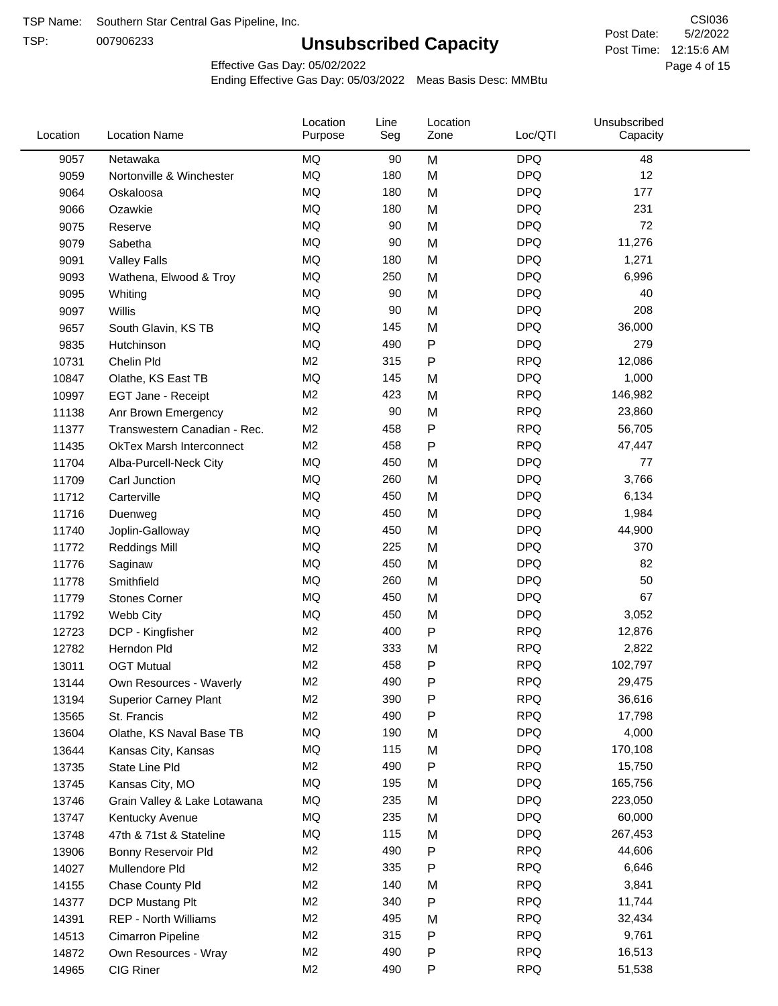TSP:

# **Unsubscribed Capacity**

5/2/2022 Page 4 of 15 Post Time: 12:15:6 AM CSI036 Post Date:

Effective Gas Day: 05/02/2022

| Location | <b>Location Name</b>            | Location<br>Purpose | Line<br>Seg | Location<br>Zone | Loc/QTI    | Unsubscribed<br>Capacity |  |
|----------|---------------------------------|---------------------|-------------|------------------|------------|--------------------------|--|
| 9057     | Netawaka                        | MQ                  | 90          | M                | <b>DPQ</b> | 48                       |  |
| 9059     | Nortonville & Winchester        | MQ                  | 180         | M                | <b>DPQ</b> | 12                       |  |
| 9064     | Oskaloosa                       | MQ                  | 180         | M                | <b>DPQ</b> | 177                      |  |
| 9066     | Ozawkie                         | <b>MQ</b>           | 180         | M                | <b>DPQ</b> | 231                      |  |
| 9075     | Reserve                         | <b>MQ</b>           | 90          | M                | <b>DPQ</b> | 72                       |  |
| 9079     | Sabetha                         | <b>MQ</b>           | 90          | M                | <b>DPQ</b> | 11,276                   |  |
| 9091     | <b>Valley Falls</b>             | <b>MQ</b>           | 180         | M                | <b>DPQ</b> | 1,271                    |  |
| 9093     | Wathena, Elwood & Troy          | <b>MQ</b>           | 250         | M                | <b>DPQ</b> | 6,996                    |  |
| 9095     | Whiting                         | MQ                  | 90          | M                | <b>DPQ</b> | 40                       |  |
| 9097     | Willis                          | <b>MQ</b>           | 90          | M                | <b>DPQ</b> | 208                      |  |
| 9657     | South Glavin, KS TB             | <b>MQ</b>           | 145         | M                | <b>DPQ</b> | 36,000                   |  |
| 9835     | Hutchinson                      | MQ                  | 490         | ${\sf P}$        | <b>DPQ</b> | 279                      |  |
| 10731    | Chelin Pld                      | M <sub>2</sub>      | 315         | P                | <b>RPQ</b> | 12,086                   |  |
| 10847    | Olathe, KS East TB              | <b>MQ</b>           | 145         | M                | <b>DPQ</b> | 1,000                    |  |
| 10997    | EGT Jane - Receipt              | M <sub>2</sub>      | 423         | M                | <b>RPQ</b> | 146,982                  |  |
| 11138    | Anr Brown Emergency             | M <sub>2</sub>      | 90          | M                | <b>RPQ</b> | 23,860                   |  |
| 11377    | Transwestern Canadian - Rec.    | M <sub>2</sub>      | 458         | P                | <b>RPQ</b> | 56,705                   |  |
| 11435    | <b>OkTex Marsh Interconnect</b> | M <sub>2</sub>      | 458         | $\mathsf{P}$     | <b>RPQ</b> | 47,447                   |  |
| 11704    | Alba-Purcell-Neck City          | <b>MQ</b>           | 450         | M                | <b>DPQ</b> | 77                       |  |
| 11709    | Carl Junction                   | <b>MQ</b>           | 260         | M                | <b>DPQ</b> | 3,766                    |  |
| 11712    | Carterville                     | <b>MQ</b>           | 450         | M                | <b>DPQ</b> | 6,134                    |  |
| 11716    | Duenweg                         | <b>MQ</b>           | 450         | M                | <b>DPQ</b> | 1,984                    |  |
| 11740    | Joplin-Galloway                 | <b>MQ</b>           | 450         | M                | <b>DPQ</b> | 44,900                   |  |
| 11772    | <b>Reddings Mill</b>            | <b>MQ</b>           | 225         | M                | <b>DPQ</b> | 370                      |  |
| 11776    | Saginaw                         | <b>MQ</b>           | 450         | M                | <b>DPQ</b> | 82                       |  |
| 11778    | Smithfield                      | <b>MQ</b>           | 260         | M                | <b>DPQ</b> | 50                       |  |
| 11779    | <b>Stones Corner</b>            | <b>MQ</b>           | 450         | M                | <b>DPQ</b> | 67                       |  |
| 11792    | Webb City                       | <b>MQ</b>           | 450         | M                | <b>DPQ</b> | 3,052                    |  |
| 12723    | DCP - Kingfisher                | M <sub>2</sub>      | 400         | P                | <b>RPQ</b> | 12,876                   |  |
| 12782    | Herndon Pld                     | M <sub>2</sub>      | 333         | M                | <b>RPQ</b> | 2,822                    |  |
| 13011    | <b>OGT Mutual</b>               | M <sub>2</sub>      | 458         | P                | <b>RPQ</b> | 102,797                  |  |
| 13144    | Own Resources - Waverly         | M <sub>2</sub>      | 490         | P                | <b>RPQ</b> | 29,475                   |  |
| 13194    | <b>Superior Carney Plant</b>    | M <sub>2</sub>      | 390         | P                | <b>RPQ</b> | 36,616                   |  |
| 13565    | St. Francis                     | M <sub>2</sub>      | 490         | P                | <b>RPQ</b> | 17,798                   |  |
| 13604    | Olathe, KS Naval Base TB        | MQ                  | 190         | M                | <b>DPQ</b> | 4,000                    |  |
| 13644    | Kansas City, Kansas             | MQ                  | 115         | M                | <b>DPQ</b> | 170,108                  |  |
| 13735    | State Line Pld                  | M <sub>2</sub>      | 490         | P                | <b>RPQ</b> | 15,750                   |  |
| 13745    | Kansas City, MO                 | MQ                  | 195         | M                | <b>DPQ</b> | 165,756                  |  |
| 13746    | Grain Valley & Lake Lotawana    | MQ                  | 235         | M                | <b>DPQ</b> | 223,050                  |  |
| 13747    | Kentucky Avenue                 | MQ                  | 235         | M                | <b>DPQ</b> | 60,000                   |  |
| 13748    | 47th & 71st & Stateline         | MQ                  | 115         | M                | <b>DPQ</b> | 267,453                  |  |
| 13906    | Bonny Reservoir Pld             | M <sub>2</sub>      | 490         | P                | <b>RPQ</b> | 44,606                   |  |
| 14027    | Mullendore Pld                  | M <sub>2</sub>      | 335         | P                | <b>RPQ</b> | 6,646                    |  |
| 14155    | Chase County Pld                | M <sub>2</sub>      | 140         | M                | <b>RPQ</b> | 3,841                    |  |
| 14377    | DCP Mustang Plt                 | M <sub>2</sub>      | 340         | P                | <b>RPQ</b> | 11,744                   |  |
| 14391    | <b>REP - North Williams</b>     | M <sub>2</sub>      | 495         | M                | <b>RPQ</b> | 32,434                   |  |
| 14513    | Cimarron Pipeline               | M <sub>2</sub>      | 315         | ${\sf P}$        | <b>RPQ</b> | 9,761                    |  |
| 14872    | Own Resources - Wray            | M <sub>2</sub>      | 490         | P                | <b>RPQ</b> | 16,513                   |  |
| 14965    | CIG Riner                       | M <sub>2</sub>      | 490         | P                | <b>RPQ</b> | 51,538                   |  |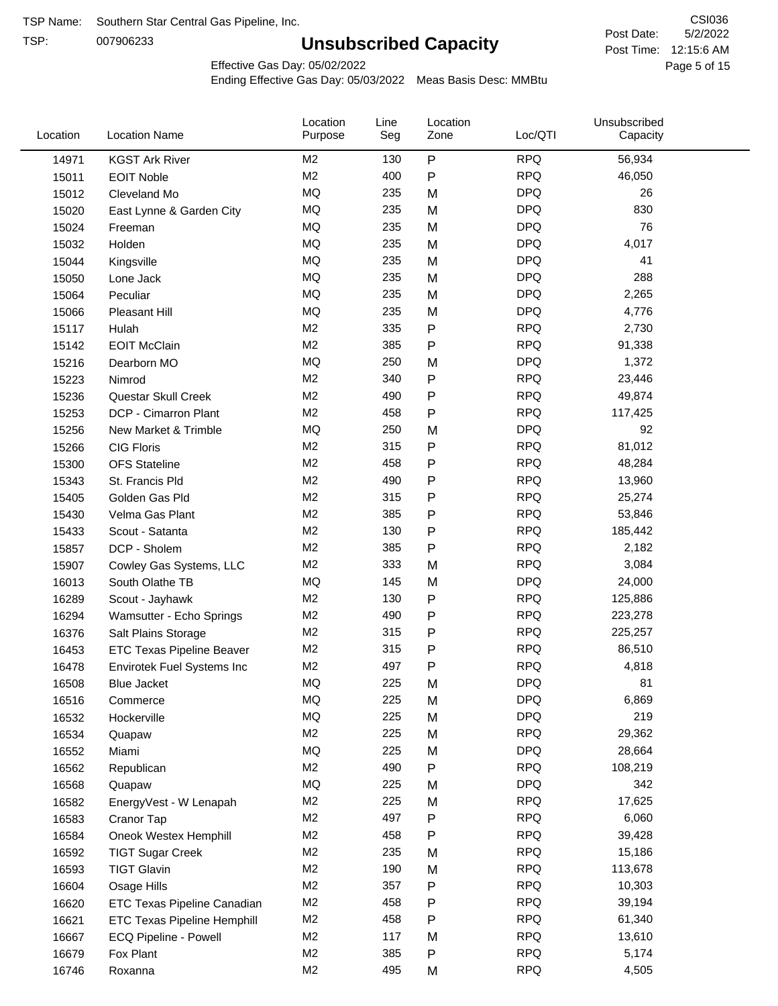TSP:

# **Unsubscribed Capacity**

5/2/2022 Page 5 of 15 Post Time: 12:15:6 AM CSI036 Post Date:

Effective Gas Day: 05/02/2022

| Location | <b>Location Name</b>               | Location<br>Purpose | Line<br>Seg | Location<br>Zone | Loc/QTI    | Unsubscribed<br>Capacity |  |
|----------|------------------------------------|---------------------|-------------|------------------|------------|--------------------------|--|
| 14971    | <b>KGST Ark River</b>              | M <sub>2</sub>      | 130         | P                | <b>RPQ</b> | 56,934                   |  |
| 15011    | <b>EOIT Noble</b>                  | M <sub>2</sub>      | 400         | P                | <b>RPQ</b> | 46,050                   |  |
| 15012    | Cleveland Mo                       | <b>MQ</b>           | 235         | M                | <b>DPQ</b> | 26                       |  |
| 15020    | East Lynne & Garden City           | <b>MQ</b>           | 235         | M                | <b>DPQ</b> | 830                      |  |
| 15024    | Freeman                            | <b>MQ</b>           | 235         | M                | <b>DPQ</b> | 76                       |  |
| 15032    | Holden                             | <b>MQ</b>           | 235         | M                | <b>DPQ</b> | 4,017                    |  |
| 15044    | Kingsville                         | <b>MQ</b>           | 235         | M                | <b>DPQ</b> | 41                       |  |
| 15050    | Lone Jack                          | <b>MQ</b>           | 235         | M                | <b>DPQ</b> | 288                      |  |
| 15064    | Peculiar                           | <b>MQ</b>           | 235         | M                | <b>DPQ</b> | 2,265                    |  |
| 15066    | Pleasant Hill                      | <b>MQ</b>           | 235         | M                | <b>DPQ</b> | 4,776                    |  |
| 15117    | Hulah                              | M <sub>2</sub>      | 335         | Ρ                | <b>RPQ</b> | 2,730                    |  |
| 15142    | <b>EOIT McClain</b>                | M <sub>2</sub>      | 385         | P                | <b>RPQ</b> | 91,338                   |  |
| 15216    | Dearborn MO                        | MQ                  | 250         | M                | <b>DPQ</b> | 1,372                    |  |
| 15223    | Nimrod                             | M <sub>2</sub>      | 340         | P                | <b>RPQ</b> | 23,446                   |  |
| 15236    | Questar Skull Creek                | M <sub>2</sub>      | 490         | P                | <b>RPQ</b> | 49,874                   |  |
| 15253    | DCP - Cimarron Plant               | M <sub>2</sub>      | 458         | P                | <b>RPQ</b> | 117,425                  |  |
| 15256    | New Market & Trimble               | <b>MQ</b>           | 250         | M                | <b>DPQ</b> | 92                       |  |
| 15266    | <b>CIG Floris</b>                  | M <sub>2</sub>      | 315         | Ρ                | <b>RPQ</b> | 81,012                   |  |
| 15300    | <b>OFS Stateline</b>               | M <sub>2</sub>      | 458         | P                | <b>RPQ</b> | 48,284                   |  |
| 15343    | St. Francis Pld                    | M <sub>2</sub>      | 490         | Ρ                | <b>RPQ</b> | 13,960                   |  |
| 15405    | Golden Gas Pld                     | M <sub>2</sub>      | 315         | P                | <b>RPQ</b> | 25,274                   |  |
| 15430    | Velma Gas Plant                    | M <sub>2</sub>      | 385         | Ρ                | <b>RPQ</b> | 53,846                   |  |
| 15433    | Scout - Satanta                    | M <sub>2</sub>      | 130         | Ρ                | <b>RPQ</b> | 185,442                  |  |
| 15857    | DCP - Sholem                       | M <sub>2</sub>      | 385         | P                | <b>RPQ</b> | 2,182                    |  |
| 15907    | Cowley Gas Systems, LLC            | M <sub>2</sub>      | 333         | M                | <b>RPQ</b> | 3,084                    |  |
| 16013    | South Olathe TB                    | MQ                  | 145         | M                | <b>DPQ</b> | 24,000                   |  |
| 16289    | Scout - Jayhawk                    | M <sub>2</sub>      | 130         | Ρ                | <b>RPQ</b> | 125,886                  |  |
| 16294    | Wamsutter - Echo Springs           | M <sub>2</sub>      | 490         | P                | <b>RPQ</b> | 223,278                  |  |
| 16376    | Salt Plains Storage                | M <sub>2</sub>      | 315         | P                | <b>RPQ</b> | 225,257                  |  |
| 16453    | ETC Texas Pipeline Beaver          | M <sub>2</sub>      | 315         | Ρ                | <b>RPQ</b> | 86,510                   |  |
| 16478    | Envirotek Fuel Systems Inc         | M <sub>2</sub>      | 497         | Ρ                | <b>RPQ</b> | 4,818                    |  |
| 16508    | Blue Jacket                        | MQ                  | 225         | M                | <b>DPQ</b> | 81                       |  |
| 16516    | Commerce                           | MQ                  | 225         | M                | <b>DPQ</b> | 6,869                    |  |
| 16532    | Hockerville                        | <b>MQ</b>           | 225         | M                | <b>DPQ</b> | 219                      |  |
| 16534    | Quapaw                             | M <sub>2</sub>      | 225         | M                | <b>RPQ</b> | 29,362                   |  |
| 16552    | Miami                              | MQ                  | 225         | M                | <b>DPQ</b> | 28,664                   |  |
| 16562    | Republican                         | M <sub>2</sub>      | 490         | Ρ                | <b>RPQ</b> | 108,219                  |  |
| 16568    | Quapaw                             | MQ                  | 225         | M                | <b>DPQ</b> | 342                      |  |
| 16582    | EnergyVest - W Lenapah             | M <sub>2</sub>      | 225         | M                | <b>RPQ</b> | 17,625                   |  |
| 16583    | Cranor Tap                         | M <sub>2</sub>      | 497         | Ρ                | <b>RPQ</b> | 6,060                    |  |
| 16584    | Oneok Westex Hemphill              | M <sub>2</sub>      | 458         | Ρ                | <b>RPQ</b> | 39,428                   |  |
| 16592    | <b>TIGT Sugar Creek</b>            | M <sub>2</sub>      | 235         | M                | <b>RPQ</b> | 15,186                   |  |
| 16593    | <b>TIGT Glavin</b>                 | M <sub>2</sub>      | 190         | M                | <b>RPQ</b> | 113,678                  |  |
| 16604    | Osage Hills                        | M <sub>2</sub>      | 357         | Ρ                | <b>RPQ</b> | 10,303                   |  |
| 16620    | ETC Texas Pipeline Canadian        | M <sub>2</sub>      | 458         | Ρ                | <b>RPQ</b> | 39,194                   |  |
| 16621    | <b>ETC Texas Pipeline Hemphill</b> | M <sub>2</sub>      | 458         | Ρ                | <b>RPQ</b> | 61,340                   |  |
| 16667    | ECQ Pipeline - Powell              | M <sub>2</sub>      | 117         | M                | <b>RPQ</b> | 13,610                   |  |
| 16679    | Fox Plant                          | M <sub>2</sub>      | 385         | Ρ                | <b>RPQ</b> | 5,174                    |  |
| 16746    | Roxanna                            | M <sub>2</sub>      | 495         | M                | <b>RPQ</b> | 4,505                    |  |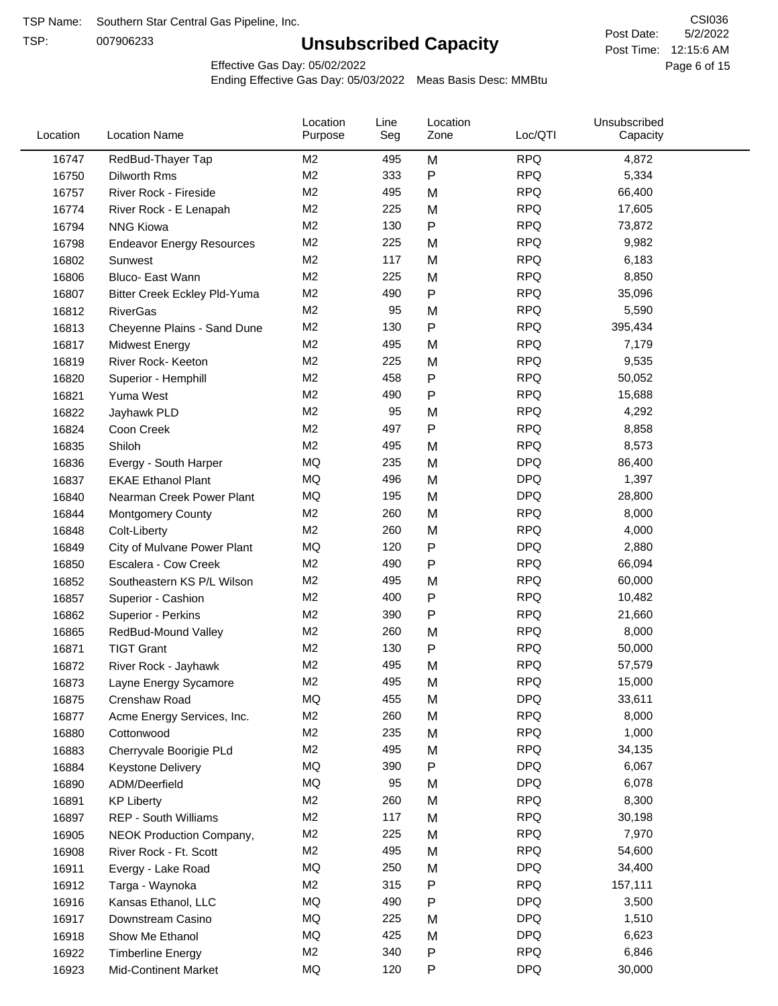TSP:

# **Unsubscribed Capacity**

5/2/2022 Page 6 of 15 Post Time: 12:15:6 AM CSI036 Post Date:

Effective Gas Day: 05/02/2022

| Location | <b>Location Name</b>                | Location<br>Purpose | Line<br>Seg | Location<br>Zone | Loc/QTI    | Unsubscribed<br>Capacity |  |
|----------|-------------------------------------|---------------------|-------------|------------------|------------|--------------------------|--|
| 16747    | RedBud-Thayer Tap                   | M <sub>2</sub>      | 495         | M                | <b>RPQ</b> | 4,872                    |  |
| 16750    | Dilworth Rms                        | M <sub>2</sub>      | 333         | P                | <b>RPQ</b> | 5,334                    |  |
| 16757    | River Rock - Fireside               | M <sub>2</sub>      | 495         | M                | <b>RPQ</b> | 66,400                   |  |
| 16774    | River Rock - E Lenapah              | M <sub>2</sub>      | 225         | M                | <b>RPQ</b> | 17,605                   |  |
| 16794    | <b>NNG Kiowa</b>                    | M <sub>2</sub>      | 130         | P                | <b>RPQ</b> | 73,872                   |  |
| 16798    | <b>Endeavor Energy Resources</b>    | M <sub>2</sub>      | 225         | M                | <b>RPQ</b> | 9,982                    |  |
| 16802    | Sunwest                             | M <sub>2</sub>      | 117         | M                | <b>RPQ</b> | 6,183                    |  |
| 16806    | Bluco- East Wann                    | M <sub>2</sub>      | 225         | M                | <b>RPQ</b> | 8,850                    |  |
| 16807    | <b>Bitter Creek Eckley Pld-Yuma</b> | M <sub>2</sub>      | 490         | P                | <b>RPQ</b> | 35,096                   |  |
| 16812    | <b>RiverGas</b>                     | M <sub>2</sub>      | 95          | M                | <b>RPQ</b> | 5,590                    |  |
| 16813    | Cheyenne Plains - Sand Dune         | M <sub>2</sub>      | 130         | P                | <b>RPQ</b> | 395,434                  |  |
| 16817    | <b>Midwest Energy</b>               | M <sub>2</sub>      | 495         | M                | <b>RPQ</b> | 7,179                    |  |
| 16819    | River Rock- Keeton                  | M <sub>2</sub>      | 225         | M                | <b>RPQ</b> | 9,535                    |  |
| 16820    | Superior - Hemphill                 | M <sub>2</sub>      | 458         | Ρ                | <b>RPQ</b> | 50,052                   |  |
| 16821    | Yuma West                           | M <sub>2</sub>      | 490         | Ρ                | <b>RPQ</b> | 15,688                   |  |
| 16822    | Jayhawk PLD                         | M <sub>2</sub>      | 95          | M                | <b>RPQ</b> | 4,292                    |  |
| 16824    | Coon Creek                          | M <sub>2</sub>      | 497         | P                | <b>RPQ</b> | 8,858                    |  |
| 16835    | Shiloh                              | M <sub>2</sub>      | 495         | M                | <b>RPQ</b> | 8,573                    |  |
| 16836    | Evergy - South Harper               | MQ                  | 235         | M                | <b>DPQ</b> | 86,400                   |  |
| 16837    | <b>EKAE Ethanol Plant</b>           | MQ                  | 496         | M                | <b>DPQ</b> | 1,397                    |  |
| 16840    | Nearman Creek Power Plant           | MQ                  | 195         | M                | <b>DPQ</b> | 28,800                   |  |
| 16844    | <b>Montgomery County</b>            | M <sub>2</sub>      | 260         | M                | <b>RPQ</b> | 8,000                    |  |
| 16848    | Colt-Liberty                        | M <sub>2</sub>      | 260         | M                | <b>RPQ</b> | 4,000                    |  |
| 16849    | City of Mulvane Power Plant         | <b>MQ</b>           | 120         | P                | <b>DPQ</b> | 2,880                    |  |
| 16850    | Escalera - Cow Creek                | M <sub>2</sub>      | 490         | Ρ                | <b>RPQ</b> | 66,094                   |  |
| 16852    | Southeastern KS P/L Wilson          | M <sub>2</sub>      | 495         | M                | <b>RPQ</b> | 60,000                   |  |
| 16857    | Superior - Cashion                  | M <sub>2</sub>      | 400         | Ρ                | <b>RPQ</b> | 10,482                   |  |
| 16862    | Superior - Perkins                  | M <sub>2</sub>      | 390         | Ρ                | <b>RPQ</b> | 21,660                   |  |
| 16865    | RedBud-Mound Valley                 | M <sub>2</sub>      | 260         | M                | <b>RPQ</b> | 8,000                    |  |
| 16871    | <b>TIGT Grant</b>                   | M <sub>2</sub>      | 130         | Ρ                | <b>RPQ</b> | 50,000                   |  |
| 16872    | River Rock - Jayhawk                | M <sub>2</sub>      | 495         | M                | <b>RPQ</b> | 57,579                   |  |
| 16873    | Layne Energy Sycamore               | M <sub>2</sub>      | 495         | Μ                | <b>RPQ</b> | 15,000                   |  |
| 16875    | Crenshaw Road                       | MQ                  | 455         | M                | <b>DPQ</b> | 33,611                   |  |
| 16877    | Acme Energy Services, Inc.          | M <sub>2</sub>      | 260         | M                | <b>RPQ</b> | 8,000                    |  |
| 16880    | Cottonwood                          | M <sub>2</sub>      | 235         | M                | <b>RPQ</b> | 1,000                    |  |
| 16883    | Cherryvale Boorigie PLd             | M <sub>2</sub>      | 495         | M                | <b>RPQ</b> | 34,135                   |  |
| 16884    | Keystone Delivery                   | MQ                  | 390         | Ρ                | <b>DPQ</b> | 6,067                    |  |
| 16890    | ADM/Deerfield                       | MQ                  | 95          | M                | <b>DPQ</b> | 6,078                    |  |
| 16891    | <b>KP Liberty</b>                   | M <sub>2</sub>      | 260         | M                | <b>RPQ</b> | 8,300                    |  |
| 16897    | REP - South Williams                | M <sub>2</sub>      | 117         | M                | <b>RPQ</b> | 30,198                   |  |
| 16905    | NEOK Production Company,            | M <sub>2</sub>      | 225         | M                | <b>RPQ</b> | 7,970                    |  |
| 16908    | River Rock - Ft. Scott              | M <sub>2</sub>      | 495         | M                | <b>RPQ</b> | 54,600                   |  |
| 16911    | Evergy - Lake Road                  | MQ                  | 250         | M                | <b>DPQ</b> | 34,400                   |  |
| 16912    | Targa - Waynoka                     | M <sub>2</sub>      | 315         | Ρ                | <b>RPQ</b> | 157,111                  |  |
| 16916    | Kansas Ethanol, LLC                 | MQ                  | 490         | P                | <b>DPQ</b> | 3,500                    |  |
| 16917    | Downstream Casino                   | MQ                  | 225         | M                | <b>DPQ</b> | 1,510                    |  |
| 16918    | Show Me Ethanol                     | MQ                  | 425         | M                | <b>DPQ</b> | 6,623                    |  |
| 16922    | <b>Timberline Energy</b>            | M <sub>2</sub>      | 340         | Ρ                | <b>RPQ</b> | 6,846                    |  |
| 16923    | <b>Mid-Continent Market</b>         | MQ                  | 120         | P                | <b>DPQ</b> | 30,000                   |  |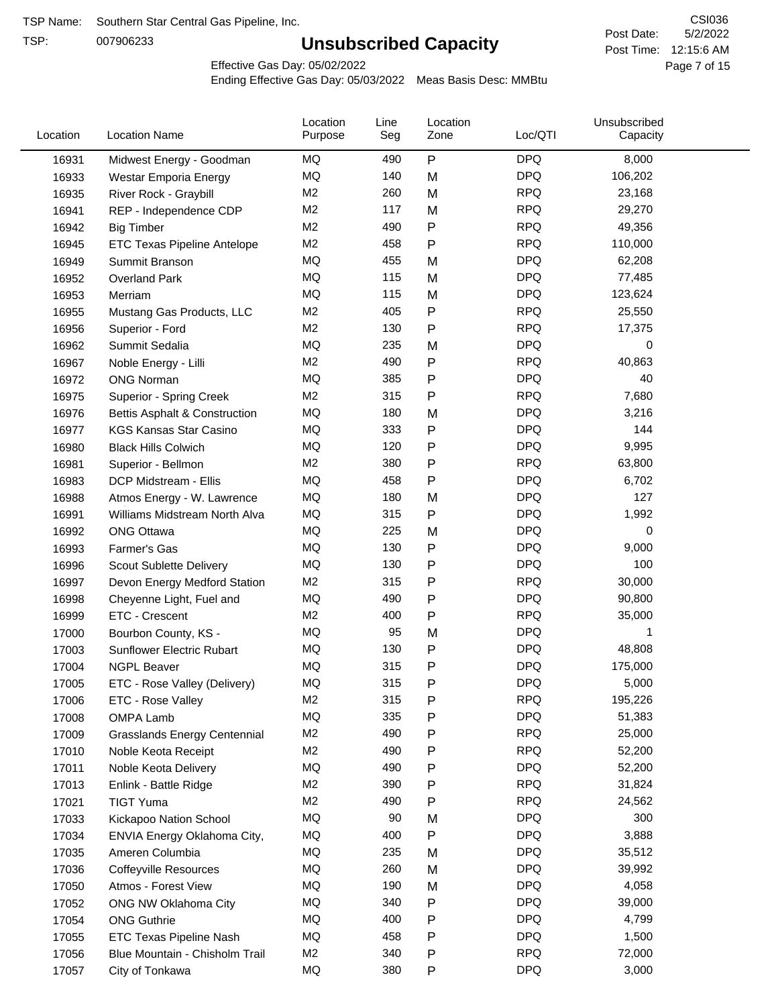TSP:

# **Unsubscribed Capacity**

5/2/2022 Page 7 of 15 Post Time: 12:15:6 AM CSI036 Post Date:

Effective Gas Day: 05/02/2022

| Location | <b>Location Name</b>                | Location<br>Purpose | Line<br>Seg | Location<br>Zone | Loc/QTI    | Unsubscribed<br>Capacity |  |
|----------|-------------------------------------|---------------------|-------------|------------------|------------|--------------------------|--|
| 16931    | Midwest Energy - Goodman            | MQ                  | 490         | ${\sf P}$        | <b>DPQ</b> | 8,000                    |  |
| 16933    | Westar Emporia Energy               | MQ                  | 140         | M                | <b>DPQ</b> | 106,202                  |  |
| 16935    | River Rock - Graybill               | M <sub>2</sub>      | 260         | M                | <b>RPQ</b> | 23,168                   |  |
| 16941    | REP - Independence CDP              | M <sub>2</sub>      | 117         | M                | <b>RPQ</b> | 29,270                   |  |
| 16942    | <b>Big Timber</b>                   | M <sub>2</sub>      | 490         | P                | <b>RPQ</b> | 49,356                   |  |
| 16945    | <b>ETC Texas Pipeline Antelope</b>  | M <sub>2</sub>      | 458         | Ρ                | <b>RPQ</b> | 110,000                  |  |
| 16949    | Summit Branson                      | MQ                  | 455         | M                | <b>DPQ</b> | 62,208                   |  |
| 16952    | <b>Overland Park</b>                | MQ                  | 115         | M                | <b>DPQ</b> | 77,485                   |  |
| 16953    | Merriam                             | MQ                  | 115         | M                | <b>DPQ</b> | 123,624                  |  |
| 16955    | Mustang Gas Products, LLC           | M <sub>2</sub>      | 405         | Ρ                | <b>RPQ</b> | 25,550                   |  |
| 16956    | Superior - Ford                     | M <sub>2</sub>      | 130         | Ρ                | <b>RPQ</b> | 17,375                   |  |
| 16962    | Summit Sedalia                      | MQ                  | 235         | M                | <b>DPQ</b> | 0                        |  |
| 16967    | Noble Energy - Lilli                | M <sub>2</sub>      | 490         | P                | <b>RPQ</b> | 40,863                   |  |
| 16972    | <b>ONG Norman</b>                   | <b>MQ</b>           | 385         | Ρ                | <b>DPQ</b> | 40                       |  |
| 16975    | Superior - Spring Creek             | M <sub>2</sub>      | 315         | Ρ                | <b>RPQ</b> | 7,680                    |  |
| 16976    | Bettis Asphalt & Construction       | MQ                  | 180         | M                | <b>DPQ</b> | 3,216                    |  |
| 16977    | <b>KGS Kansas Star Casino</b>       | MQ                  | 333         | Ρ                | <b>DPQ</b> | 144                      |  |
| 16980    | <b>Black Hills Colwich</b>          | MQ                  | 120         | Ρ                | <b>DPQ</b> | 9,995                    |  |
| 16981    | Superior - Bellmon                  | M <sub>2</sub>      | 380         | Ρ                | <b>RPQ</b> | 63,800                   |  |
| 16983    | DCP Midstream - Ellis               | MQ                  | 458         | Ρ                | <b>DPQ</b> | 6,702                    |  |
| 16988    | Atmos Energy - W. Lawrence          | MQ                  | 180         | M                | <b>DPQ</b> | 127                      |  |
| 16991    | Williams Midstream North Alva       | MQ                  | 315         | Ρ                | <b>DPQ</b> | 1,992                    |  |
| 16992    | <b>ONG Ottawa</b>                   | MQ                  | 225         | M                | <b>DPQ</b> | 0                        |  |
| 16993    | Farmer's Gas                        | MQ                  | 130         | Ρ                | <b>DPQ</b> | 9,000                    |  |
| 16996    | Scout Sublette Delivery             | MQ                  | 130         | Ρ                | <b>DPQ</b> | 100                      |  |
| 16997    | Devon Energy Medford Station        | M <sub>2</sub>      | 315         | Ρ                | <b>RPQ</b> | 30,000                   |  |
| 16998    | Cheyenne Light, Fuel and            | MQ                  | 490         | Ρ                | <b>DPQ</b> | 90,800                   |  |
| 16999    | ETC - Crescent                      | M <sub>2</sub>      | 400         | Ρ                | <b>RPQ</b> | 35,000                   |  |
| 17000    | Bourbon County, KS -                | MQ                  | 95          | M                | <b>DPQ</b> | 1                        |  |
| 17003    | <b>Sunflower Electric Rubart</b>    | MQ                  | 130         | Ρ                | <b>DPQ</b> | 48,808                   |  |
| 17004    | <b>NGPL Beaver</b>                  | MQ                  | 315         | Ρ                | <b>DPQ</b> | 175,000                  |  |
| 17005    | ETC - Rose Valley (Delivery)        | MQ                  | 315         | P                | <b>DPQ</b> | 5,000                    |  |
| 17006    | ETC - Rose Valley                   | M2                  | 315         | P                | <b>RPQ</b> | 195,226                  |  |
| 17008    | OMPA Lamb                           | MQ                  | 335         | Ρ                | <b>DPQ</b> | 51,383                   |  |
| 17009    | <b>Grasslands Energy Centennial</b> | M <sub>2</sub>      | 490         | Ρ                | <b>RPQ</b> | 25,000                   |  |
| 17010    | Noble Keota Receipt                 | M <sub>2</sub>      | 490         | Ρ                | <b>RPQ</b> | 52,200                   |  |
| 17011    | Noble Keota Delivery                | MQ                  | 490         | Ρ                | <b>DPQ</b> | 52,200                   |  |
| 17013    | Enlink - Battle Ridge               | M <sub>2</sub>      | 390         | Ρ                | <b>RPQ</b> | 31,824                   |  |
| 17021    | <b>TIGT Yuma</b>                    | M <sub>2</sub>      | 490         | Ρ                | <b>RPQ</b> | 24,562                   |  |
| 17033    | Kickapoo Nation School              | MQ                  | 90          | M                | <b>DPQ</b> | 300                      |  |
| 17034    | ENVIA Energy Oklahoma City,         | MQ                  | 400         | ${\sf P}$        | <b>DPQ</b> | 3,888                    |  |
| 17035    | Ameren Columbia                     | MQ                  | 235         | M                | <b>DPQ</b> | 35,512                   |  |
| 17036    | <b>Coffeyville Resources</b>        | MQ                  | 260         | M                | <b>DPQ</b> | 39,992                   |  |
| 17050    | Atmos - Forest View                 | MQ                  | 190         | M                | <b>DPQ</b> | 4,058                    |  |
| 17052    | ONG NW Oklahoma City                | MQ                  | 340         | Ρ                | <b>DPQ</b> | 39,000                   |  |
| 17054    | <b>ONG Guthrie</b>                  | MQ                  | 400         | Ρ                | <b>DPQ</b> | 4,799                    |  |
| 17055    | ETC Texas Pipeline Nash             | MQ                  | 458         | Ρ                | <b>DPQ</b> | 1,500                    |  |
| 17056    | Blue Mountain - Chisholm Trail      | M <sub>2</sub>      | 340         | Ρ                | <b>RPQ</b> | 72,000                   |  |
| 17057    | City of Tonkawa                     | MQ                  | 380         | P                | <b>DPQ</b> | 3,000                    |  |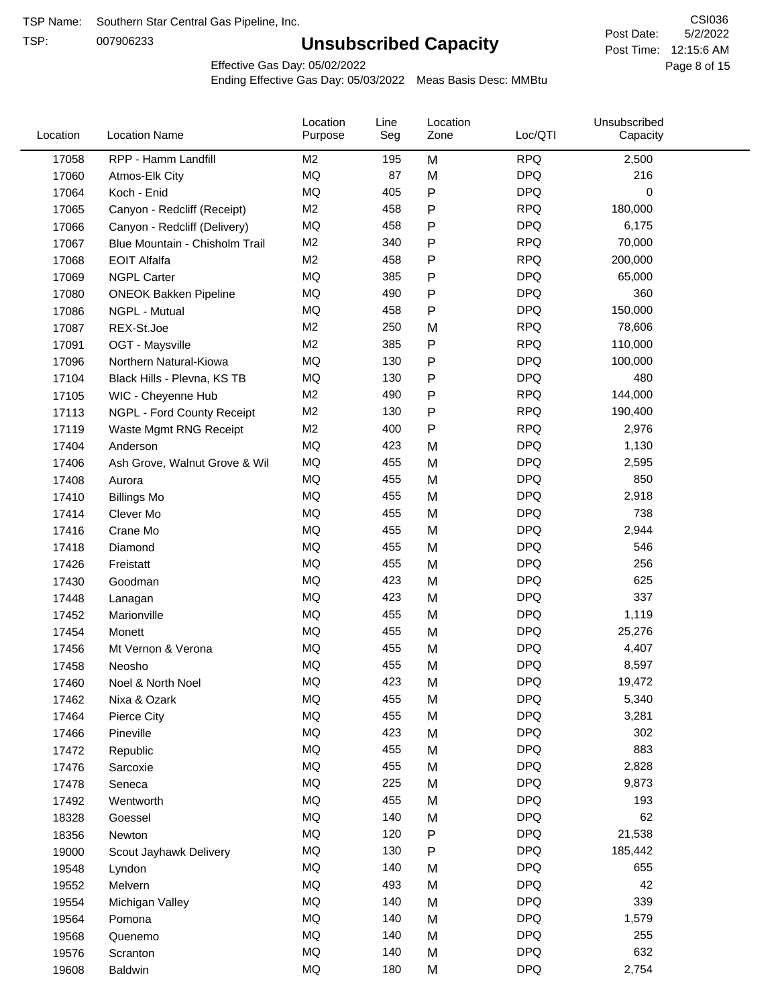TSP:

# **Unsubscribed Capacity**

5/2/2022 Page 8 of 15 Post Time: 12:15:6 AM CSI036 Post Date:

Effective Gas Day: 05/02/2022

| Location | <b>Location Name</b>           | Location<br>Purpose | Line<br>Seg | Location<br>Zone | Loc/QTI    | Unsubscribed<br>Capacity |  |
|----------|--------------------------------|---------------------|-------------|------------------|------------|--------------------------|--|
| 17058    | RPP - Hamm Landfill            | M2                  | 195         | M                | <b>RPQ</b> | 2,500                    |  |
| 17060    | Atmos-Elk City                 | MQ                  | 87          | M                | <b>DPQ</b> | 216                      |  |
| 17064    | Koch - Enid                    | MQ                  | 405         | P                | <b>DPQ</b> | 0                        |  |
| 17065    | Canyon - Redcliff (Receipt)    | M <sub>2</sub>      | 458         | P                | <b>RPQ</b> | 180,000                  |  |
| 17066    | Canyon - Redcliff (Delivery)   | MQ                  | 458         | P                | <b>DPQ</b> | 6,175                    |  |
| 17067    | Blue Mountain - Chisholm Trail | M <sub>2</sub>      | 340         | P                | <b>RPQ</b> | 70,000                   |  |
| 17068    | <b>EOIT Alfalfa</b>            | M <sub>2</sub>      | 458         | Ρ                | <b>RPQ</b> | 200,000                  |  |
| 17069    | <b>NGPL Carter</b>             | MQ                  | 385         | P                | <b>DPQ</b> | 65,000                   |  |
| 17080    | <b>ONEOK Bakken Pipeline</b>   | MQ                  | 490         | P                | <b>DPQ</b> | 360                      |  |
| 17086    | NGPL - Mutual                  | <b>MQ</b>           | 458         | P                | <b>DPQ</b> | 150,000                  |  |
| 17087    | REX-St.Joe                     | M <sub>2</sub>      | 250         | M                | <b>RPQ</b> | 78,606                   |  |
| 17091    | OGT - Maysville                | M <sub>2</sub>      | 385         | P                | <b>RPQ</b> | 110,000                  |  |
| 17096    | Northern Natural-Kiowa         | <b>MQ</b>           | 130         | P                | <b>DPQ</b> | 100,000                  |  |
| 17104    | Black Hills - Plevna, KS TB    | MQ                  | 130         | Ρ                | <b>DPQ</b> | 480                      |  |
| 17105    | WIC - Cheyenne Hub             | M <sub>2</sub>      | 490         | P                | <b>RPQ</b> | 144,000                  |  |
| 17113    | NGPL - Ford County Receipt     | M <sub>2</sub>      | 130         | Ρ                | <b>RPQ</b> | 190,400                  |  |
| 17119    | Waste Mgmt RNG Receipt         | M <sub>2</sub>      | 400         | P                | <b>RPQ</b> | 2,976                    |  |
| 17404    | Anderson                       | MQ                  | 423         | M                | <b>DPQ</b> | 1,130                    |  |
| 17406    | Ash Grove, Walnut Grove & Wil  | <b>MQ</b>           | 455         | M                | <b>DPQ</b> | 2,595                    |  |
| 17408    | Aurora                         | MQ                  | 455         | M                | <b>DPQ</b> | 850                      |  |
| 17410    | <b>Billings Mo</b>             | MQ                  | 455         | M                | <b>DPQ</b> | 2,918                    |  |
| 17414    | Clever Mo                      | <b>MQ</b>           | 455         | M                | <b>DPQ</b> | 738                      |  |
| 17416    | Crane Mo                       | <b>MQ</b>           | 455         | M                | <b>DPQ</b> | 2,944                    |  |
| 17418    | Diamond                        | <b>MQ</b>           | 455         | M                | <b>DPQ</b> | 546                      |  |
| 17426    | Freistatt                      | <b>MQ</b>           | 455         | M                | <b>DPQ</b> | 256                      |  |
| 17430    | Goodman                        | MQ                  | 423         | M                | <b>DPQ</b> | 625                      |  |
| 17448    | Lanagan                        | <b>MQ</b>           | 423         | M                | <b>DPQ</b> | 337                      |  |
| 17452    | Marionville                    | <b>MQ</b>           | 455         | M                | <b>DPQ</b> | 1,119                    |  |
| 17454    | Monett                         | <b>MQ</b>           | 455         | M                | <b>DPQ</b> | 25,276                   |  |
| 17456    | Mt Vernon & Verona             | MQ                  | 455         | M                | <b>DPQ</b> | 4,407                    |  |
| 17458    | Neosho                         | <b>MQ</b>           | 455         | M                | <b>DPQ</b> | 8,597                    |  |
| 17460    | Noel & North Noel              | MQ                  | 423         | M                | <b>DPQ</b> | 19,472                   |  |
| 17462    | Nixa & Ozark                   | MQ                  | 455         | M                | <b>DPQ</b> | 5,340                    |  |
| 17464    | Pierce City                    | $\sf{MQ}$           | 455         | M                | <b>DPQ</b> | 3,281                    |  |
| 17466    | Pineville                      | MQ                  | 423         | M                | <b>DPQ</b> | 302                      |  |
| 17472    | Republic                       | MQ                  | 455         | M                | <b>DPQ</b> | 883                      |  |
| 17476    | Sarcoxie                       | MQ                  | 455         | M                | <b>DPQ</b> | 2,828                    |  |
| 17478    | Seneca                         | MQ                  | 225         | M                | <b>DPQ</b> | 9,873                    |  |
| 17492    | Wentworth                      | $\sf{MQ}$           | 455         | M                | <b>DPQ</b> | 193                      |  |
| 18328    | Goessel                        | MQ                  | 140         | M                | <b>DPQ</b> | 62                       |  |
| 18356    | Newton                         | MQ                  | 120         | P                | <b>DPQ</b> | 21,538                   |  |
| 19000    | Scout Jayhawk Delivery         | MQ                  | 130         | P                | <b>DPQ</b> | 185,442                  |  |
| 19548    | Lyndon                         | $\sf{MQ}$           | 140         | M                | <b>DPQ</b> | 655                      |  |
| 19552    | Melvern                        | MQ                  | 493         | M                | <b>DPQ</b> | 42                       |  |
| 19554    | Michigan Valley                | MQ                  | 140         | M                | <b>DPQ</b> | 339                      |  |
| 19564    | Pomona                         | MQ                  | 140         | M                | <b>DPQ</b> | 1,579                    |  |
| 19568    | Quenemo                        | MQ                  | 140         | M                | <b>DPQ</b> | 255                      |  |
| 19576    | Scranton                       | MQ                  | 140         | M                | <b>DPQ</b> | 632                      |  |
| 19608    | Baldwin                        | $\sf{MQ}$           | 180         | M                | <b>DPQ</b> | 2,754                    |  |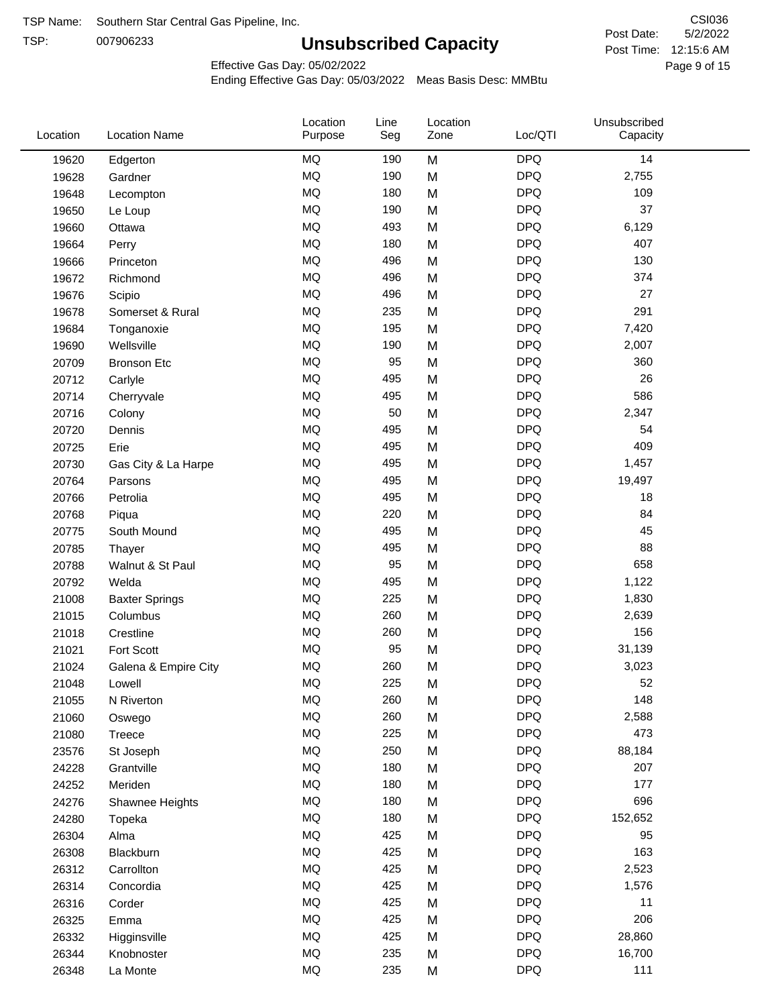TSP:

# **Unsubscribed Capacity**

5/2/2022 Page 9 of 15 Post Time: 12:15:6 AM CSI036 Post Date:

Effective Gas Day: 05/02/2022

| Location | <b>Location Name</b>  | Location<br>Purpose | Line<br>Seg | Location<br>Zone | Loc/QTI    | Unsubscribed<br>Capacity |  |
|----------|-----------------------|---------------------|-------------|------------------|------------|--------------------------|--|
| 19620    | Edgerton              | <b>MQ</b>           | 190         | M                | <b>DPQ</b> | 14                       |  |
| 19628    | Gardner               | <b>MQ</b>           | 190         | M                | <b>DPQ</b> | 2,755                    |  |
| 19648    | Lecompton             | <b>MQ</b>           | 180         | M                | <b>DPQ</b> | 109                      |  |
| 19650    | Le Loup               | <b>MQ</b>           | 190         | M                | <b>DPQ</b> | 37                       |  |
| 19660    | Ottawa                | <b>MQ</b>           | 493         | M                | <b>DPQ</b> | 6,129                    |  |
| 19664    | Perry                 | <b>MQ</b>           | 180         | M                | <b>DPQ</b> | 407                      |  |
| 19666    | Princeton             | <b>MQ</b>           | 496         | M                | <b>DPQ</b> | 130                      |  |
| 19672    | Richmond              | <b>MQ</b>           | 496         | M                | <b>DPQ</b> | 374                      |  |
| 19676    | Scipio                | <b>MQ</b>           | 496         | M                | <b>DPQ</b> | 27                       |  |
| 19678    | Somerset & Rural      | <b>MQ</b>           | 235         | M                | <b>DPQ</b> | 291                      |  |
| 19684    | Tonganoxie            | <b>MQ</b>           | 195         | M                | <b>DPQ</b> | 7,420                    |  |
| 19690    | Wellsville            | <b>MQ</b>           | 190         | M                | <b>DPQ</b> | 2,007                    |  |
| 20709    | <b>Bronson Etc</b>    | <b>MQ</b>           | 95          | M                | <b>DPQ</b> | 360                      |  |
| 20712    | Carlyle               | <b>MQ</b>           | 495         | M                | <b>DPQ</b> | 26                       |  |
| 20714    | Cherryvale            | <b>MQ</b>           | 495         | M                | <b>DPQ</b> | 586                      |  |
| 20716    | Colony                | <b>MQ</b>           | 50          | M                | <b>DPQ</b> | 2,347                    |  |
| 20720    | Dennis                | <b>MQ</b>           | 495         | M                | <b>DPQ</b> | 54                       |  |
| 20725    | Erie                  | <b>MQ</b>           | 495         | M                | <b>DPQ</b> | 409                      |  |
| 20730    | Gas City & La Harpe   | <b>MQ</b>           | 495         | M                | <b>DPQ</b> | 1,457                    |  |
| 20764    | Parsons               | <b>MQ</b>           | 495         | M                | <b>DPQ</b> | 19,497                   |  |
| 20766    | Petrolia              | <b>MQ</b>           | 495         | M                | <b>DPQ</b> | 18                       |  |
| 20768    | Piqua                 | <b>MQ</b>           | 220         | M                | <b>DPQ</b> | 84                       |  |
| 20775    | South Mound           | <b>MQ</b>           | 495         | M                | <b>DPQ</b> | 45                       |  |
| 20785    | Thayer                | <b>MQ</b>           | 495         | M                | <b>DPQ</b> | 88                       |  |
| 20788    | Walnut & St Paul      | <b>MQ</b>           | 95          | M                | <b>DPQ</b> | 658                      |  |
| 20792    | Welda                 | <b>MQ</b>           | 495         | M                | <b>DPQ</b> | 1,122                    |  |
| 21008    | <b>Baxter Springs</b> | <b>MQ</b>           | 225         | M                | <b>DPQ</b> | 1,830                    |  |
| 21015    | Columbus              | <b>MQ</b>           | 260         | M                | <b>DPQ</b> | 2,639                    |  |
| 21018    | Crestline             | <b>MQ</b>           | 260         | M                | <b>DPQ</b> | 156                      |  |
| 21021    | Fort Scott            | <b>MQ</b>           | 95          | M                | <b>DPQ</b> | 31,139                   |  |
| 21024    | Galena & Empire City  | <b>MQ</b>           | 260         | M                | <b>DPQ</b> | 3,023                    |  |
| 21048    | Lowell                | <b>MQ</b>           | 225         | M                | <b>DPQ</b> | 52                       |  |
| 21055    | N Riverton            | MQ                  | 260         | M                | <b>DPQ</b> | 148                      |  |
| 21060    | Oswego                | <b>MQ</b>           | 260         | M                | <b>DPQ</b> | 2,588                    |  |
| 21080    | Treece                | <b>MQ</b>           | 225         | M                | <b>DPQ</b> | 473                      |  |
| 23576    | St Joseph             | <b>MQ</b>           | 250         | M                | <b>DPQ</b> | 88,184                   |  |
| 24228    | Grantville            | <b>MQ</b>           | 180         | M                | <b>DPQ</b> | 207                      |  |
| 24252    | Meriden               | MQ                  | 180         | M                | <b>DPQ</b> | 177                      |  |
| 24276    | Shawnee Heights       | <b>MQ</b>           | 180         | M                | <b>DPQ</b> | 696                      |  |
| 24280    | Topeka                | <b>MQ</b>           | 180         | M                | <b>DPQ</b> | 152,652                  |  |
| 26304    | Alma                  | MQ                  | 425         | M                | <b>DPQ</b> | 95                       |  |
| 26308    | Blackburn             | MQ                  | 425         | M                | <b>DPQ</b> | 163                      |  |
| 26312    | Carrollton            | <b>MQ</b>           | 425         | M                | <b>DPQ</b> | 2,523                    |  |
| 26314    | Concordia             | <b>MQ</b>           | 425         | M                | <b>DPQ</b> | 1,576                    |  |
| 26316    | Corder                | MQ                  | 425         | M                | <b>DPQ</b> | 11                       |  |
| 26325    | Emma                  | <b>MQ</b>           | 425         | M                | <b>DPQ</b> | 206                      |  |
| 26332    | Higginsville          | <b>MQ</b>           | 425         | M                | <b>DPQ</b> | 28,860                   |  |
| 26344    | Knobnoster            | <b>MQ</b>           | 235         | M                | <b>DPQ</b> | 16,700                   |  |
| 26348    | La Monte              | <b>MQ</b>           | 235         | M                | <b>DPQ</b> | 111                      |  |
|          |                       |                     |             |                  |            |                          |  |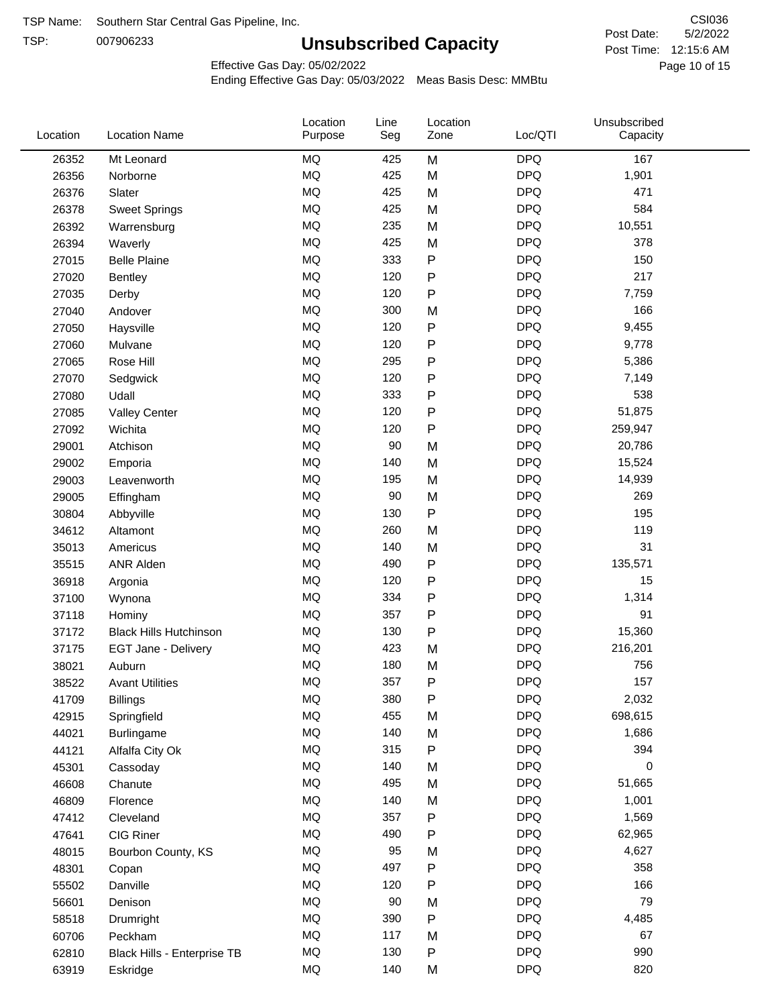TSP:

# **Unsubscribed Capacity**

5/2/2022 Page 10 of 15 Post Time: 12:15:6 AM CSI036 Post Date:

Effective Gas Day: 05/02/2022

| Location | <b>Location Name</b>          | Location<br>Purpose | Line<br>Seg | Location<br>Zone | Loc/QTI    | Unsubscribed<br>Capacity |  |
|----------|-------------------------------|---------------------|-------------|------------------|------------|--------------------------|--|
| 26352    | Mt Leonard                    | <b>MQ</b>           | 425         | M                | <b>DPQ</b> | 167                      |  |
| 26356    | Norborne                      | MQ                  | 425         | M                | <b>DPQ</b> | 1,901                    |  |
| 26376    | Slater                        | MQ                  | 425         | M                | <b>DPQ</b> | 471                      |  |
| 26378    | <b>Sweet Springs</b>          | <b>MQ</b>           | 425         | M                | <b>DPQ</b> | 584                      |  |
| 26392    | Warrensburg                   | <b>MQ</b>           | 235         | M                | <b>DPQ</b> | 10,551                   |  |
| 26394    | Waverly                       | <b>MQ</b>           | 425         | M                | <b>DPQ</b> | 378                      |  |
| 27015    | <b>Belle Plaine</b>           | MQ                  | 333         | P                | <b>DPQ</b> | 150                      |  |
| 27020    | <b>Bentley</b>                | <b>MQ</b>           | 120         | P                | <b>DPQ</b> | 217                      |  |
| 27035    | Derby                         | <b>MQ</b>           | 120         | P                | <b>DPQ</b> | 7,759                    |  |
| 27040    | Andover                       | <b>MQ</b>           | 300         | M                | <b>DPQ</b> | 166                      |  |
| 27050    | Haysville                     | <b>MQ</b>           | 120         | P                | <b>DPQ</b> | 9,455                    |  |
| 27060    | Mulvane                       | <b>MQ</b>           | 120         | P                | <b>DPQ</b> | 9,778                    |  |
| 27065    | Rose Hill                     | <b>MQ</b>           | 295         | P                | <b>DPQ</b> | 5,386                    |  |
| 27070    | Sedgwick                      | <b>MQ</b>           | 120         | P                | <b>DPQ</b> | 7,149                    |  |
| 27080    | Udall                         | <b>MQ</b>           | 333         | P                | <b>DPQ</b> | 538                      |  |
| 27085    | <b>Valley Center</b>          | <b>MQ</b>           | 120         | P                | <b>DPQ</b> | 51,875                   |  |
| 27092    | Wichita                       | <b>MQ</b>           | 120         | P                | <b>DPQ</b> | 259,947                  |  |
| 29001    | Atchison                      | <b>MQ</b>           | 90          | M                | <b>DPQ</b> | 20,786                   |  |
| 29002    | Emporia                       | <b>MQ</b>           | 140         | M                | <b>DPQ</b> | 15,524                   |  |
| 29003    | Leavenworth                   | <b>MQ</b>           | 195         | M                | <b>DPQ</b> | 14,939                   |  |
| 29005    | Effingham                     | <b>MQ</b>           | 90          | M                | <b>DPQ</b> | 269                      |  |
| 30804    | Abbyville                     | <b>MQ</b>           | 130         | P                | <b>DPQ</b> | 195                      |  |
| 34612    | Altamont                      | <b>MQ</b>           | 260         | M                | <b>DPQ</b> | 119                      |  |
| 35013    | Americus                      | <b>MQ</b>           | 140         | M                | <b>DPQ</b> | 31                       |  |
| 35515    | <b>ANR Alden</b>              | MQ                  | 490         | P                | <b>DPQ</b> | 135,571                  |  |
| 36918    | Argonia                       | <b>MQ</b>           | 120         | P                | <b>DPQ</b> | 15                       |  |
| 37100    | Wynona                        | <b>MQ</b>           | 334         | P                | <b>DPQ</b> | 1,314                    |  |
| 37118    | Hominy                        | <b>MQ</b>           | 357         | Ρ                | <b>DPQ</b> | 91                       |  |
| 37172    | <b>Black Hills Hutchinson</b> | MQ                  | 130         | P                | <b>DPQ</b> | 15,360                   |  |
| 37175    | EGT Jane - Delivery           | <b>MQ</b>           | 423         | M                | <b>DPQ</b> | 216,201                  |  |
| 38021    | Auburn                        | <b>MQ</b>           | 180         | M                | <b>DPQ</b> | 756                      |  |
| 38522    | <b>Avant Utilities</b>        | MQ                  | 357         | P                | <b>DPQ</b> | 157                      |  |
| 41709    | <b>Billings</b>               | MQ                  | 380         | Ρ                | <b>DPQ</b> | 2,032                    |  |
| 42915    | Springfield                   | $\sf{MQ}$           | 455         | M                | <b>DPQ</b> | 698,615                  |  |
| 44021    | <b>Burlingame</b>             | MQ                  | 140         | M                | <b>DPQ</b> | 1,686                    |  |
| 44121    | Alfalfa City Ok               | MQ                  | 315         | Ρ                | <b>DPQ</b> | 394                      |  |
| 45301    | Cassoday                      | MQ                  | 140         | M                | <b>DPQ</b> | 0                        |  |
| 46608    | Chanute                       | MQ                  | 495         | M                | <b>DPQ</b> | 51,665                   |  |
| 46809    | Florence                      | MQ                  | 140         | M                | <b>DPQ</b> | 1,001                    |  |
| 47412    | Cleveland                     | <b>MQ</b>           | 357         | Ρ                | <b>DPQ</b> | 1,569                    |  |
| 47641    | CIG Riner                     | $\sf{MQ}$           | 490         | Ρ                | <b>DPQ</b> | 62,965                   |  |
| 48015    | Bourbon County, KS            | MQ                  | 95          | M                | <b>DPQ</b> | 4,627                    |  |
| 48301    | Copan                         | $\sf{MQ}$           | 497         | P                | <b>DPQ</b> | 358                      |  |
| 55502    | Danville                      | $\sf{MQ}$           | 120         | P                | <b>DPQ</b> | 166                      |  |
| 56601    | Denison                       | <b>MQ</b>           | 90          | M                | <b>DPQ</b> | 79                       |  |
| 58518    | Drumright                     | MQ                  | 390         | P                | <b>DPQ</b> | 4,485                    |  |
| 60706    | Peckham                       | MQ                  | 117         | M                | <b>DPQ</b> | 67                       |  |
| 62810    | Black Hills - Enterprise TB   | $\sf{MQ}$           | 130         | P                | <b>DPQ</b> | 990                      |  |
| 63919    | Eskridge                      | $\sf{MQ}$           | 140         | M                | <b>DPQ</b> | 820                      |  |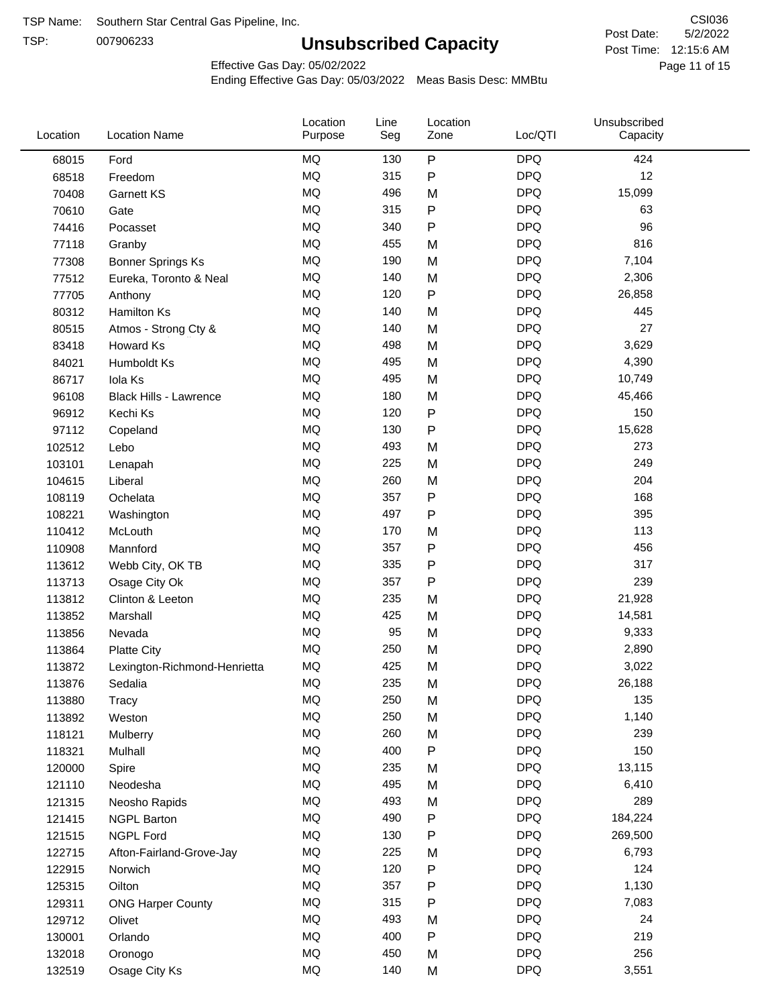TSP:

# **Unsubscribed Capacity**

5/2/2022 Page 11 of 15 Post Time: 12:15:6 AM CSI036 Post Date:

Effective Gas Day: 05/02/2022

| Location | <b>Location Name</b>          | Location<br>Purpose | Line<br>Seg | Location<br>Zone | Loc/QTI    | Unsubscribed<br>Capacity |  |
|----------|-------------------------------|---------------------|-------------|------------------|------------|--------------------------|--|
| 68015    | Ford                          | <b>MQ</b>           | 130         | $\sf P$          | <b>DPQ</b> | 424                      |  |
| 68518    | Freedom                       | MQ                  | 315         | P                | <b>DPQ</b> | 12                       |  |
| 70408    | Garnett KS                    | <b>MQ</b>           | 496         | M                | <b>DPQ</b> | 15,099                   |  |
| 70610    | Gate                          | <b>MQ</b>           | 315         | P                | <b>DPQ</b> | 63                       |  |
| 74416    | Pocasset                      | <b>MQ</b>           | 340         | P                | <b>DPQ</b> | 96                       |  |
| 77118    | Granby                        | <b>MQ</b>           | 455         | M                | <b>DPQ</b> | 816                      |  |
| 77308    | <b>Bonner Springs Ks</b>      | <b>MQ</b>           | 190         | M                | <b>DPQ</b> | 7,104                    |  |
| 77512    | Eureka, Toronto & Neal        | <b>MQ</b>           | 140         | M                | <b>DPQ</b> | 2,306                    |  |
| 77705    | Anthony                       | <b>MQ</b>           | 120         | P                | <b>DPQ</b> | 26,858                   |  |
| 80312    | <b>Hamilton Ks</b>            | <b>MQ</b>           | 140         | M                | <b>DPQ</b> | 445                      |  |
| 80515    | Atmos - Strong Cty &          | <b>MQ</b>           | 140         | M                | <b>DPQ</b> | 27                       |  |
| 83418    | Howard Ks                     | <b>MQ</b>           | 498         | M                | <b>DPQ</b> | 3,629                    |  |
| 84021    | Humboldt Ks                   | <b>MQ</b>           | 495         | M                | <b>DPQ</b> | 4,390                    |  |
| 86717    | Iola Ks                       | <b>MQ</b>           | 495         | M                | <b>DPQ</b> | 10,749                   |  |
| 96108    | <b>Black Hills - Lawrence</b> | <b>MQ</b>           | 180         | M                | <b>DPQ</b> | 45,466                   |  |
| 96912    | Kechi Ks                      | <b>MQ</b>           | 120         | P                | <b>DPQ</b> | 150                      |  |
| 97112    | Copeland                      | <b>MQ</b>           | 130         | P                | <b>DPQ</b> | 15,628                   |  |
| 102512   | Lebo                          | MQ                  | 493         | M                | <b>DPQ</b> | 273                      |  |
| 103101   | Lenapah                       | <b>MQ</b>           | 225         | M                | <b>DPQ</b> | 249                      |  |
| 104615   | Liberal                       | <b>MQ</b>           | 260         | M                | <b>DPQ</b> | 204                      |  |
| 108119   | Ochelata                      | <b>MQ</b>           | 357         | P                | <b>DPQ</b> | 168                      |  |
| 108221   | Washington                    | <b>MQ</b>           | 497         | Ρ                | <b>DPQ</b> | 395                      |  |
| 110412   | McLouth                       | <b>MQ</b>           | 170         | M                | <b>DPQ</b> | 113                      |  |
| 110908   | Mannford                      | <b>MQ</b>           | 357         | P                | <b>DPQ</b> | 456                      |  |
| 113612   | Webb City, OK TB              | MQ                  | 335         | Ρ                | <b>DPQ</b> | 317                      |  |
| 113713   | Osage City Ok                 | <b>MQ</b>           | 357         | P                | <b>DPQ</b> | 239                      |  |
| 113812   | Clinton & Leeton              | <b>MQ</b>           | 235         | M                | <b>DPQ</b> | 21,928                   |  |
| 113852   | Marshall                      | <b>MQ</b>           | 425         | M                | <b>DPQ</b> | 14,581                   |  |
| 113856   | Nevada                        | <b>MQ</b>           | 95          | M                | <b>DPQ</b> | 9,333                    |  |
| 113864   | <b>Platte City</b>            | <b>MQ</b>           | 250         | M                | <b>DPQ</b> | 2,890                    |  |
| 113872   | Lexington-Richmond-Henrietta  | <b>MQ</b>           | 425         | M                | <b>DPQ</b> | 3,022                    |  |
| 113876   | Sedalia                       | MQ                  | 235         | M                | <b>DPQ</b> | 26,188                   |  |
| 113880   | Tracy                         | MQ                  | 250         | M                | <b>DPQ</b> | 135                      |  |
| 113892   | Weston                        | MQ                  | 250         | M                | <b>DPQ</b> | 1,140                    |  |
| 118121   | Mulberry                      | MQ                  | 260         | M                | <b>DPQ</b> | 239                      |  |
| 118321   | Mulhall                       | MQ                  | 400         | P                | <b>DPQ</b> | 150                      |  |
| 120000   | Spire                         | MQ                  | 235         | M                | <b>DPQ</b> | 13,115                   |  |
| 121110   | Neodesha                      | MQ                  | 495         | M                | <b>DPQ</b> | 6,410                    |  |
| 121315   | Neosho Rapids                 | $\sf{MQ}$           | 493         | M                | <b>DPQ</b> | 289                      |  |
| 121415   | <b>NGPL Barton</b>            | MQ                  | 490         | Ρ                | <b>DPQ</b> | 184,224                  |  |
| 121515   | <b>NGPL Ford</b>              | MQ                  | 130         | Ρ                | <b>DPQ</b> | 269,500                  |  |
| 122715   | Afton-Fairland-Grove-Jay      | MQ                  | 225         | M                | <b>DPQ</b> | 6,793                    |  |
| 122915   | Norwich                       | MQ                  | 120         | Ρ                | <b>DPQ</b> | 124                      |  |
| 125315   | Oilton                        | MQ                  | 357         | Ρ                | <b>DPQ</b> | 1,130                    |  |
| 129311   | <b>ONG Harper County</b>      | MQ                  | 315         | Ρ                | <b>DPQ</b> | 7,083                    |  |
| 129712   | Olivet                        | MQ                  | 493         | M                | <b>DPQ</b> | 24                       |  |
| 130001   | Orlando                       | MQ                  | 400         | ${\sf P}$        | <b>DPQ</b> | 219                      |  |
| 132018   | Oronogo                       | $\sf{MQ}$           | 450         | M                | <b>DPQ</b> | 256                      |  |
| 132519   | Osage City Ks                 | $\sf{MQ}$           | 140         | M                | <b>DPQ</b> | 3,551                    |  |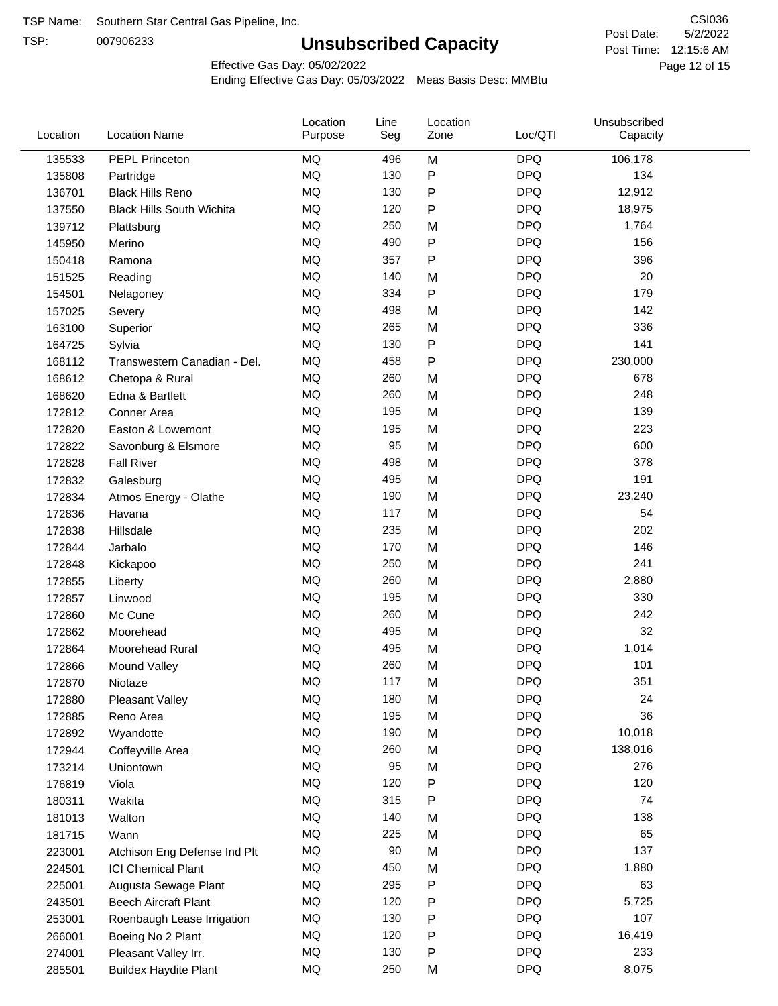TSP:

# **Unsubscribed Capacity**

5/2/2022 Page 12 of 15 Post Time: 12:15:6 AM CSI036 Post Date:

Effective Gas Day: 05/02/2022

| Location | <b>Location Name</b>             | Location<br>Purpose | Line<br>Seg | Location<br>Zone | Loc/QTI    | Unsubscribed<br>Capacity |  |
|----------|----------------------------------|---------------------|-------------|------------------|------------|--------------------------|--|
| 135533   | PEPL Princeton                   | MQ                  | 496         | M                | <b>DPQ</b> | 106,178                  |  |
| 135808   | Partridge                        | MQ                  | 130         | P                | <b>DPQ</b> | 134                      |  |
| 136701   | <b>Black Hills Reno</b>          | MQ                  | 130         | P                | <b>DPQ</b> | 12,912                   |  |
| 137550   | <b>Black Hills South Wichita</b> | MQ                  | 120         | P                | <b>DPQ</b> | 18,975                   |  |
| 139712   | Plattsburg                       | <b>MQ</b>           | 250         | M                | <b>DPQ</b> | 1,764                    |  |
| 145950   | Merino                           | <b>MQ</b>           | 490         | P                | <b>DPQ</b> | 156                      |  |
| 150418   | Ramona                           | <b>MQ</b>           | 357         | Ρ                | <b>DPQ</b> | 396                      |  |
| 151525   | Reading                          | <b>MQ</b>           | 140         | M                | <b>DPQ</b> | 20                       |  |
| 154501   | Nelagoney                        | <b>MQ</b>           | 334         | P                | <b>DPQ</b> | 179                      |  |
| 157025   | Severy                           | <b>MQ</b>           | 498         | M                | <b>DPQ</b> | 142                      |  |
| 163100   | Superior                         | MQ                  | 265         | M                | <b>DPQ</b> | 336                      |  |
| 164725   | Sylvia                           | MQ                  | 130         | P                | <b>DPQ</b> | 141                      |  |
| 168112   | Transwestern Canadian - Del.     | <b>MQ</b>           | 458         | P                | <b>DPQ</b> | 230,000                  |  |
| 168612   | Chetopa & Rural                  | <b>MQ</b>           | 260         | M                | <b>DPQ</b> | 678                      |  |
| 168620   | Edna & Bartlett                  | <b>MQ</b>           | 260         | M                | <b>DPQ</b> | 248                      |  |
| 172812   | Conner Area                      | <b>MQ</b>           | 195         | M                | <b>DPQ</b> | 139                      |  |
| 172820   | Easton & Lowemont                | MQ                  | 195         | M                | <b>DPQ</b> | 223                      |  |
| 172822   | Savonburg & Elsmore              | MQ                  | 95          | M                | <b>DPQ</b> | 600                      |  |
| 172828   | <b>Fall River</b>                | <b>MQ</b>           | 498         | M                | <b>DPQ</b> | 378                      |  |
| 172832   | Galesburg                        | MQ                  | 495         | M                | <b>DPQ</b> | 191                      |  |
| 172834   | Atmos Energy - Olathe            | MQ                  | 190         | M                | <b>DPQ</b> | 23,240                   |  |
| 172836   | Havana                           | <b>MQ</b>           | 117         | M                | <b>DPQ</b> | 54                       |  |
| 172838   | Hillsdale                        | <b>MQ</b>           | 235         | M                | <b>DPQ</b> | 202                      |  |
| 172844   | Jarbalo                          | <b>MQ</b>           | 170         | M                | <b>DPQ</b> | 146                      |  |
| 172848   | Kickapoo                         | <b>MQ</b>           | 250         | M                | <b>DPQ</b> | 241                      |  |
| 172855   | Liberty                          | MQ                  | 260         | M                | <b>DPQ</b> | 2,880                    |  |
| 172857   | Linwood                          | <b>MQ</b>           | 195         | M                | <b>DPQ</b> | 330                      |  |
| 172860   | Mc Cune                          | <b>MQ</b>           | 260         | M                | <b>DPQ</b> | 242                      |  |
| 172862   | Moorehead                        | <b>MQ</b>           | 495         | M                | <b>DPQ</b> | 32                       |  |
| 172864   | Moorehead Rural                  | MQ                  | 495         | M                | <b>DPQ</b> | 1,014                    |  |
| 172866   | Mound Valley                     | <b>MQ</b>           | 260         | M                | <b>DPQ</b> | 101                      |  |
| 172870   | Niotaze                          | MQ                  | 117         | M                | <b>DPQ</b> | 351                      |  |
| 172880   | <b>Pleasant Valley</b>           | MQ                  | 180         | M                | <b>DPQ</b> | 24                       |  |
| 172885   | Reno Area                        | $\sf{MQ}$           | 195         | M                | <b>DPQ</b> | 36                       |  |
| 172892   | Wyandotte                        | MQ                  | 190         | M                | <b>DPQ</b> | 10,018                   |  |
| 172944   | Coffeyville Area                 | MQ                  | 260         | M                | <b>DPQ</b> | 138,016                  |  |
| 173214   | Uniontown                        | MQ                  | 95          | M                | <b>DPQ</b> | 276                      |  |
| 176819   | Viola                            | MQ                  | 120         | P                | <b>DPQ</b> | 120                      |  |
| 180311   | Wakita                           | MQ                  | 315         | P                | <b>DPQ</b> | 74                       |  |
| 181013   | Walton                           | MQ                  | 140         | M                | <b>DPQ</b> | 138                      |  |
| 181715   | Wann                             | MQ                  | 225         | M                | <b>DPQ</b> | 65                       |  |
| 223001   | Atchison Eng Defense Ind Plt     | MQ                  | 90          | M                | <b>DPQ</b> | 137                      |  |
| 224501   | <b>ICI Chemical Plant</b>        | MQ                  | 450         | M                | <b>DPQ</b> | 1,880                    |  |
| 225001   | Augusta Sewage Plant             | MQ                  | 295         | P                | <b>DPQ</b> | 63                       |  |
| 243501   | <b>Beech Aircraft Plant</b>      | MQ                  | 120         | P                | <b>DPQ</b> | 5,725                    |  |
| 253001   | Roenbaugh Lease Irrigation       | MQ                  | 130         | Ρ                | <b>DPQ</b> | 107                      |  |
| 266001   | Boeing No 2 Plant                | MQ                  | 120         | P                | <b>DPQ</b> | 16,419                   |  |
| 274001   | Pleasant Valley Irr.             | MQ                  | 130         | P                | <b>DPQ</b> | 233                      |  |
| 285501   | <b>Buildex Haydite Plant</b>     | MQ                  | 250         | M                | <b>DPQ</b> | 8,075                    |  |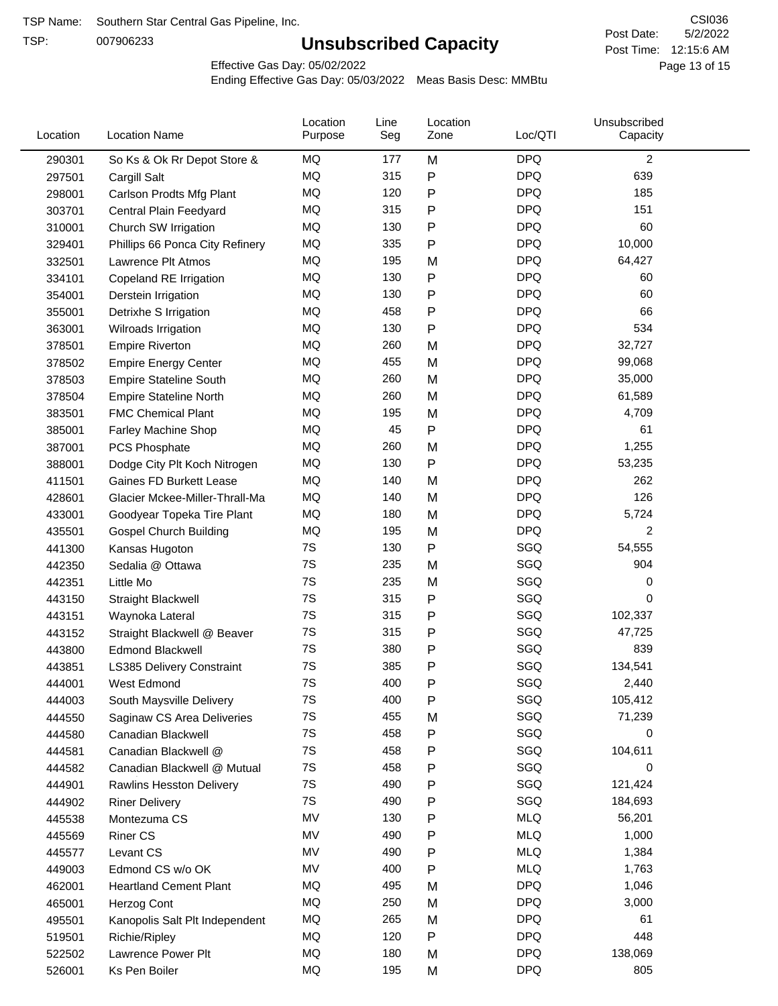TSP:

# **Unsubscribed Capacity**

5/2/2022 Page 13 of 15 Post Time: 12:15:6 AM CSI036 Post Date:

Effective Gas Day: 05/02/2022

| Location | <b>Location Name</b>            | Location<br>Purpose | Line<br>Seg | Location<br>Zone | Loc/QTI    | Unsubscribed<br>Capacity |  |
|----------|---------------------------------|---------------------|-------------|------------------|------------|--------------------------|--|
| 290301   | So Ks & Ok Rr Depot Store &     | MQ                  | 177         | M                | <b>DPQ</b> | $\overline{2}$           |  |
| 297501   | Cargill Salt                    | MQ                  | 315         | P                | <b>DPQ</b> | 639                      |  |
| 298001   | Carlson Prodts Mfg Plant        | MQ                  | 120         | Ρ                | <b>DPQ</b> | 185                      |  |
| 303701   | Central Plain Feedyard          | MQ                  | 315         | P                | <b>DPQ</b> | 151                      |  |
| 310001   | Church SW Irrigation            | <b>MQ</b>           | 130         | Ρ                | <b>DPQ</b> | 60                       |  |
| 329401   | Phillips 66 Ponca City Refinery | MQ                  | 335         | Ρ                | <b>DPQ</b> | 10,000                   |  |
| 332501   | Lawrence Plt Atmos              | MQ                  | 195         | M                | <b>DPQ</b> | 64,427                   |  |
| 334101   | Copeland RE Irrigation          | MQ                  | 130         | Ρ                | <b>DPQ</b> | 60                       |  |
| 354001   | Derstein Irrigation             | MQ                  | 130         | P                | <b>DPQ</b> | 60                       |  |
| 355001   | Detrixhe S Irrigation           | MQ                  | 458         | Ρ                | <b>DPQ</b> | 66                       |  |
| 363001   | Wilroads Irrigation             | MQ                  | 130         | P                | <b>DPQ</b> | 534                      |  |
| 378501   | <b>Empire Riverton</b>          | MQ                  | 260         | M                | <b>DPQ</b> | 32,727                   |  |
| 378502   | <b>Empire Energy Center</b>     | MQ                  | 455         | M                | <b>DPQ</b> | 99,068                   |  |
| 378503   | <b>Empire Stateline South</b>   | <b>MQ</b>           | 260         | M                | <b>DPQ</b> | 35,000                   |  |
| 378504   | <b>Empire Stateline North</b>   | MQ                  | 260         | M                | <b>DPQ</b> | 61,589                   |  |
| 383501   | <b>FMC Chemical Plant</b>       | MQ                  | 195         | M                | <b>DPQ</b> | 4,709                    |  |
| 385001   | Farley Machine Shop             | MQ                  | 45          | P                | <b>DPQ</b> | 61                       |  |
| 387001   | PCS Phosphate                   | MQ                  | 260         | M                | <b>DPQ</b> | 1,255                    |  |
| 388001   | Dodge City Plt Koch Nitrogen    | MQ                  | 130         | P                | <b>DPQ</b> | 53,235                   |  |
| 411501   | Gaines FD Burkett Lease         | MQ                  | 140         | M                | <b>DPQ</b> | 262                      |  |
| 428601   | Glacier Mckee-Miller-Thrall-Ma  | MQ                  | 140         | M                | <b>DPQ</b> | 126                      |  |
| 433001   | Goodyear Topeka Tire Plant      | MQ                  | 180         | M                | <b>DPQ</b> | 5,724                    |  |
| 435501   | <b>Gospel Church Building</b>   | MQ                  | 195         | M                | <b>DPQ</b> | 2                        |  |
| 441300   | Kansas Hugoton                  | 7S                  | 130         | Ρ                | SGQ        | 54,555                   |  |
| 442350   | Sedalia @ Ottawa                | 7S                  | 235         | M                | SGQ        | 904                      |  |
| 442351   | Little Mo                       | 7S                  | 235         | M                | SGQ        | 0                        |  |
| 443150   | <b>Straight Blackwell</b>       | 7S                  | 315         | Ρ                | SGQ        | 0                        |  |
| 443151   | Waynoka Lateral                 | 7S                  | 315         | Ρ                | SGQ        | 102,337                  |  |
| 443152   | Straight Blackwell @ Beaver     | 7S                  | 315         | Ρ                | SGQ        | 47,725                   |  |
| 443800   | <b>Edmond Blackwell</b>         | 7S                  | 380         | P                | SGQ        | 839                      |  |
| 443851   | LS385 Delivery Constraint       | 7S                  | 385         | Ρ                | SGQ        | 134,541                  |  |
| 444001   | West Edmond                     | 7S                  | 400         | Ρ                | SGQ        | 2,440                    |  |
| 444003   | South Maysville Delivery        | 7S                  | 400         | Ρ                | SGQ        | 105,412                  |  |
| 444550   | Saginaw CS Area Deliveries      | 7S                  | 455         | M                | SGQ        | 71,239                   |  |
| 444580   | Canadian Blackwell              | 7S                  | 458         | Ρ                | SGQ        | 0                        |  |
| 444581   | Canadian Blackwell @            | 7S                  | 458         | Ρ                | SGQ        | 104,611                  |  |
| 444582   | Canadian Blackwell @ Mutual     | 7S                  | 458         | Ρ                | SGQ        | 0                        |  |
| 444901   | Rawlins Hesston Delivery        | 7S                  | 490         | Ρ                | SGQ        | 121,424                  |  |
| 444902   | <b>Riner Delivery</b>           | 7S                  | 490         | Ρ                | SGQ        | 184,693                  |  |
| 445538   | Montezuma CS                    | MV                  | 130         | Ρ                | <b>MLQ</b> | 56,201                   |  |
| 445569   | <b>Riner CS</b>                 | MV                  | 490         | Ρ                | <b>MLQ</b> | 1,000                    |  |
| 445577   | Levant CS                       | MV                  | 490         | Ρ                | <b>MLQ</b> | 1,384                    |  |
| 449003   | Edmond CS w/o OK                | MV                  | 400         | Ρ                | <b>MLQ</b> | 1,763                    |  |
| 462001   | <b>Heartland Cement Plant</b>   | MQ                  | 495         | M                | <b>DPQ</b> | 1,046                    |  |
| 465001   | Herzog Cont                     | MQ                  | 250         | M                | <b>DPQ</b> | 3,000                    |  |
| 495501   | Kanopolis Salt Plt Independent  | MQ                  | 265         | M                | <b>DPQ</b> | 61                       |  |
| 519501   | Richie/Ripley                   | MQ                  | 120         | Ρ                | <b>DPQ</b> | 448                      |  |
| 522502   | Lawrence Power Plt              | MQ                  | 180         | M                | <b>DPQ</b> | 138,069                  |  |
| 526001   | Ks Pen Boiler                   | MQ                  | 195         | M                | <b>DPQ</b> | 805                      |  |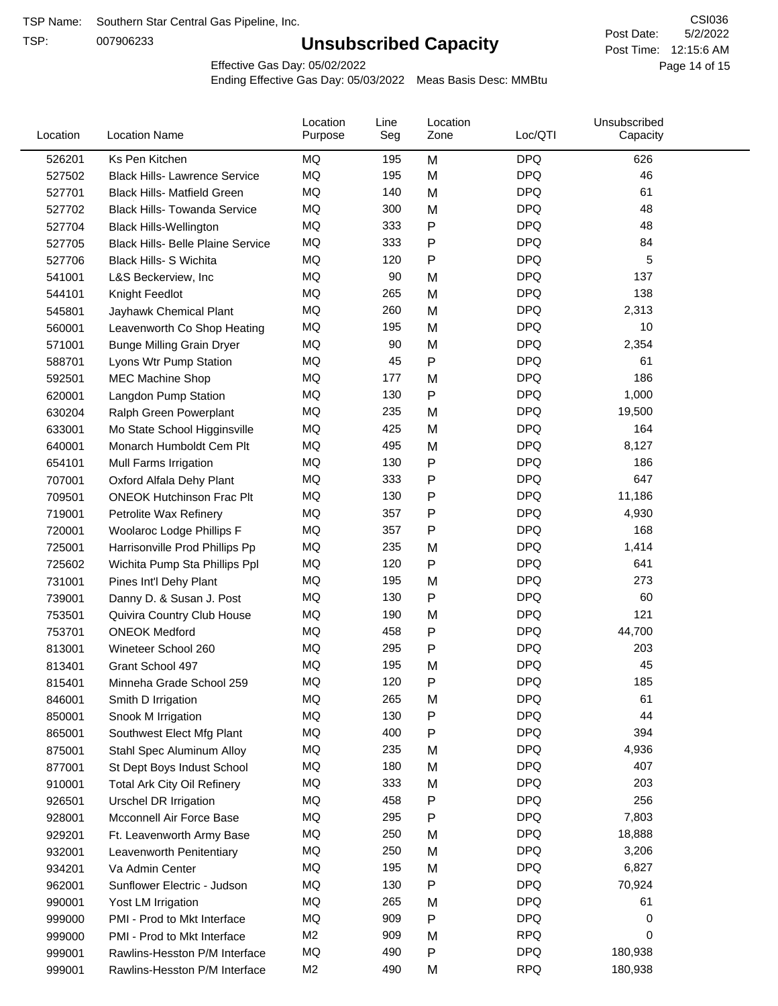TSP:

# **Unsubscribed Capacity**

5/2/2022 Page 14 of 15 Post Time: 12:15:6 AM CSI036 Post Date:

Effective Gas Day: 05/02/2022

| Location | <b>Location Name</b>                     | Location<br>Purpose | Line<br>Seg | Location<br>Zone | Loc/QTI    | Unsubscribed<br>Capacity |  |
|----------|------------------------------------------|---------------------|-------------|------------------|------------|--------------------------|--|
| 526201   | Ks Pen Kitchen                           | MQ                  | 195         | M                | <b>DPQ</b> | 626                      |  |
| 527502   | <b>Black Hills- Lawrence Service</b>     | MQ                  | 195         | M                | <b>DPQ</b> | 46                       |  |
| 527701   | <b>Black Hills- Matfield Green</b>       | MQ                  | 140         | M                | <b>DPQ</b> | 61                       |  |
| 527702   | <b>Black Hills- Towanda Service</b>      | MQ                  | 300         | M                | <b>DPQ</b> | 48                       |  |
| 527704   | <b>Black Hills-Wellington</b>            | MQ                  | 333         | Ρ                | <b>DPQ</b> | 48                       |  |
| 527705   | <b>Black Hills- Belle Plaine Service</b> | MQ                  | 333         | Ρ                | <b>DPQ</b> | 84                       |  |
| 527706   | <b>Black Hills- S Wichita</b>            | MQ                  | 120         | Ρ                | <b>DPQ</b> | 5                        |  |
| 541001   | L&S Beckerview, Inc                      | MQ                  | 90          | M                | <b>DPQ</b> | 137                      |  |
| 544101   | Knight Feedlot                           | MQ                  | 265         | M                | <b>DPQ</b> | 138                      |  |
| 545801   | Jayhawk Chemical Plant                   | MQ                  | 260         | M                | <b>DPQ</b> | 2,313                    |  |
| 560001   | Leavenworth Co Shop Heating              | MQ                  | 195         | M                | <b>DPQ</b> | 10                       |  |
| 571001   | <b>Bunge Milling Grain Dryer</b>         | MQ                  | 90          | M                | <b>DPQ</b> | 2,354                    |  |
| 588701   | Lyons Wtr Pump Station                   | MQ                  | 45          | P                | <b>DPQ</b> | 61                       |  |
| 592501   | <b>MEC Machine Shop</b>                  | MQ                  | 177         | M                | <b>DPQ</b> | 186                      |  |
| 620001   | Langdon Pump Station                     | MQ                  | 130         | Ρ                | <b>DPQ</b> | 1,000                    |  |
| 630204   | Ralph Green Powerplant                   | MQ                  | 235         | M                | <b>DPQ</b> | 19,500                   |  |
| 633001   | Mo State School Higginsville             | MQ                  | 425         | M                | <b>DPQ</b> | 164                      |  |
| 640001   | Monarch Humboldt Cem Plt                 | MQ                  | 495         | M                | <b>DPQ</b> | 8,127                    |  |
| 654101   | Mull Farms Irrigation                    | MQ                  | 130         | P                | <b>DPQ</b> | 186                      |  |
| 707001   | Oxford Alfala Dehy Plant                 | MQ                  | 333         | Ρ                | <b>DPQ</b> | 647                      |  |
| 709501   | <b>ONEOK Hutchinson Frac Plt</b>         | MQ                  | 130         | Ρ                | <b>DPQ</b> | 11,186                   |  |
| 719001   | Petrolite Wax Refinery                   | MQ                  | 357         | P                | <b>DPQ</b> | 4,930                    |  |
| 720001   | Woolaroc Lodge Phillips F                | MQ                  | 357         | P                | <b>DPQ</b> | 168                      |  |
| 725001   | Harrisonville Prod Phillips Pp           | MQ                  | 235         | M                | <b>DPQ</b> | 1,414                    |  |
| 725602   | Wichita Pump Sta Phillips Ppl            | MQ                  | 120         | Ρ                | <b>DPQ</b> | 641                      |  |
| 731001   | Pines Int'l Dehy Plant                   | MQ                  | 195         | M                | <b>DPQ</b> | 273                      |  |
| 739001   | Danny D. & Susan J. Post                 | MQ                  | 130         | Ρ                | <b>DPQ</b> | 60                       |  |
| 753501   | Quivira Country Club House               | MQ                  | 190         | M                | <b>DPQ</b> | 121                      |  |
| 753701   | <b>ONEOK Medford</b>                     | MQ                  | 458         | P                | <b>DPQ</b> | 44,700                   |  |
| 813001   | Wineteer School 260                      | MQ                  | 295         | Ρ                | <b>DPQ</b> | 203                      |  |
| 813401   | Grant School 497                         | MQ                  | 195         | M                | <b>DPQ</b> | 45                       |  |
| 815401   | Minneha Grade School 259                 | MQ                  | 120         | Ρ                | <b>DPQ</b> | 185                      |  |
| 846001   | Smith D Irrigation                       | MQ                  | 265         | M                | <b>DPQ</b> | 61                       |  |
| 850001   | Snook M Irrigation                       | MQ                  | 130         | P                | <b>DPQ</b> | 44                       |  |
| 865001   | Southwest Elect Mfg Plant                | MQ                  | 400         | Ρ                | <b>DPQ</b> | 394                      |  |
| 875001   | Stahl Spec Aluminum Alloy                | MQ                  | 235         | M                | <b>DPQ</b> | 4,936                    |  |
| 877001   | St Dept Boys Indust School               | MQ                  | 180         | M                | <b>DPQ</b> | 407                      |  |
| 910001   | <b>Total Ark City Oil Refinery</b>       | MQ                  | 333         | M                | <b>DPQ</b> | 203                      |  |
| 926501   | <b>Urschel DR Irrigation</b>             | MQ                  | 458         | Ρ                | <b>DPQ</b> | 256                      |  |
| 928001   | Mcconnell Air Force Base                 | MQ                  | 295         | Ρ                | <b>DPQ</b> | 7,803                    |  |
| 929201   | Ft. Leavenworth Army Base                | MQ                  | 250         | M                | <b>DPQ</b> | 18,888                   |  |
| 932001   | Leavenworth Penitentiary                 | MQ                  | 250         | M                | <b>DPQ</b> | 3,206                    |  |
| 934201   | Va Admin Center                          | MQ                  | 195         | M                | <b>DPQ</b> | 6,827                    |  |
| 962001   | Sunflower Electric - Judson              | MQ                  | 130         | Ρ                | <b>DPQ</b> | 70,924                   |  |
| 990001   | Yost LM Irrigation                       | MQ                  | 265         | M                | <b>DPQ</b> | 61                       |  |
| 999000   | PMI - Prod to Mkt Interface              | MQ                  | 909         | Ρ                | <b>DPQ</b> | 0                        |  |
| 999000   | PMI - Prod to Mkt Interface              | M <sub>2</sub>      | 909         | M                | <b>RPQ</b> | 0                        |  |
| 999001   | Rawlins-Hesston P/M Interface            | MQ                  | 490         | P                | <b>DPQ</b> | 180,938                  |  |
| 999001   | Rawlins-Hesston P/M Interface            | M <sub>2</sub>      | 490         | M                | <b>RPQ</b> | 180,938                  |  |